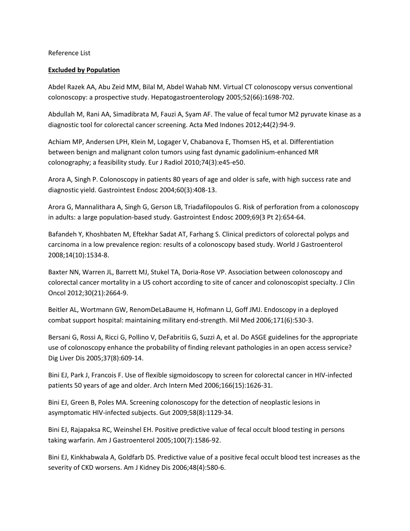### Reference List

### **Excluded by Population**

Abdel Razek AA, Abu Zeid MM, Bilal M, Abdel Wahab NM. Virtual CT colonoscopy versus conventional colonoscopy: a prospective study. Hepatogastroenterology 2005;52(66):1698-702.

Abdullah M, Rani AA, Simadibrata M, Fauzi A, Syam AF. The value of fecal tumor M2 pyruvate kinase as a diagnostic tool for colorectal cancer screening. Acta Med Indones 2012;44(2):94-9.

Achiam MP, Andersen LPH, Klein M, Logager V, Chabanova E, Thomsen HS, et al. Differentiation between benign and malignant colon tumors using fast dynamic gadolinium-enhanced MR colonography; a feasibility study. Eur J Radiol 2010;74(3):e45-e50.

Arora A, Singh P. Colonoscopy in patients 80 years of age and older is safe, with high success rate and diagnostic yield. Gastrointest Endosc 2004;60(3):408-13.

Arora G, Mannalithara A, Singh G, Gerson LB, Triadafilopoulos G. Risk of perforation from a colonoscopy in adults: a large population-based study. Gastrointest Endosc 2009;69(3 Pt 2):654-64.

Bafandeh Y, Khoshbaten M, Eftekhar Sadat AT, Farhang S. Clinical predictors of colorectal polyps and carcinoma in a low prevalence region: results of a colonoscopy based study. World J Gastroenterol 2008;14(10):1534-8.

Baxter NN, Warren JL, Barrett MJ, Stukel TA, Doria-Rose VP. Association between colonoscopy and colorectal cancer mortality in a US cohort according to site of cancer and colonoscopist specialty. J Clin Oncol 2012;30(21):2664-9.

Beitler AL, Wortmann GW, RenomDeLaBaume H, Hofmann LJ, Goff JMJ. Endoscopy in a deployed combat support hospital: maintaining military end-strength. Mil Med 2006;171(6):530-3.

Bersani G, Rossi A, Ricci G, Pollino V, DeFabritiis G, Suzzi A, et al. Do ASGE guidelines for the appropriate use of colonoscopy enhance the probability of finding relevant pathologies in an open access service? Dig Liver Dis 2005;37(8):609-14.

Bini EJ, Park J, Francois F. Use of flexible sigmoidoscopy to screen for colorectal cancer in HIV-infected patients 50 years of age and older. Arch Intern Med 2006;166(15):1626-31.

Bini EJ, Green B, Poles MA. Screening colonoscopy for the detection of neoplastic lesions in asymptomatic HIV-infected subjects. Gut 2009;58(8):1129-34.

Bini EJ, Rajapaksa RC, Weinshel EH. Positive predictive value of fecal occult blood testing in persons taking warfarin. Am J Gastroenterol 2005;100(7):1586-92.

Bini EJ, Kinkhabwala A, Goldfarb DS. Predictive value of a positive fecal occult blood test increases as the severity of CKD worsens. Am J Kidney Dis 2006;48(4):580-6.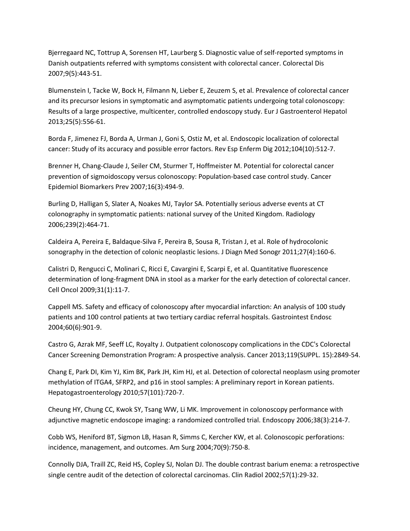Bjerregaard NC, Tottrup A, Sorensen HT, Laurberg S. Diagnostic value of self-reported symptoms in Danish outpatients referred with symptoms consistent with colorectal cancer. Colorectal Dis 2007;9(5):443-51.

Blumenstein I, Tacke W, Bock H, Filmann N, Lieber E, Zeuzem S, et al. Prevalence of colorectal cancer and its precursor lesions in symptomatic and asymptomatic patients undergoing total colonoscopy: Results of a large prospective, multicenter, controlled endoscopy study. Eur J Gastroenterol Hepatol 2013;25(5):556-61.

Borda F, Jimenez FJ, Borda A, Urman J, Goni S, Ostiz M, et al. Endoscopic localization of colorectal cancer: Study of its accuracy and possible error factors. Rev Esp Enferm Dig 2012;104(10):512-7.

Brenner H, Chang-Claude J, Seiler CM, Sturmer T, Hoffmeister M. Potential for colorectal cancer prevention of sigmoidoscopy versus colonoscopy: Population-based case control study. Cancer Epidemiol Biomarkers Prev 2007;16(3):494-9.

Burling D, Halligan S, Slater A, Noakes MJ, Taylor SA. Potentially serious adverse events at CT colonography in symptomatic patients: national survey of the United Kingdom. Radiology 2006;239(2):464-71.

Caldeira A, Pereira E, Baldaque-Silva F, Pereira B, Sousa R, Tristan J, et al. Role of hydrocolonic sonography in the detection of colonic neoplastic lesions. J Diagn Med Sonogr 2011;27(4):160-6.

Calistri D, Rengucci C, Molinari C, Ricci E, Cavargini E, Scarpi E, et al. Quantitative fluorescence determination of long-fragment DNA in stool as a marker for the early detection of colorectal cancer. Cell Oncol 2009;31(1):11-7.

Cappell MS. Safety and efficacy of colonoscopy after myocardial infarction: An analysis of 100 study patients and 100 control patients at two tertiary cardiac referral hospitals. Gastrointest Endosc 2004;60(6):901-9.

Castro G, Azrak MF, Seeff LC, Royalty J. Outpatient colonoscopy complications in the CDC's Colorectal Cancer Screening Demonstration Program: A prospective analysis. Cancer 2013;119(SUPPL. 15):2849-54.

Chang E, Park DI, Kim YJ, Kim BK, Park JH, Kim HJ, et al. Detection of colorectal neoplasm using promoter methylation of ITGA4, SFRP2, and p16 in stool samples: A preliminary report in Korean patients. Hepatogastroenterology 2010;57(101):720-7.

Cheung HY, Chung CC, Kwok SY, Tsang WW, Li MK. Improvement in colonoscopy performance with adjunctive magnetic endoscope imaging: a randomized controlled trial. Endoscopy 2006;38(3):214-7.

Cobb WS, Heniford BT, Sigmon LB, Hasan R, Simms C, Kercher KW, et al. Colonoscopic perforations: incidence, management, and outcomes. Am Surg 2004;70(9):750-8.

Connolly DJA, Traill ZC, Reid HS, Copley SJ, Nolan DJ. The double contrast barium enema: a retrospective single centre audit of the detection of colorectal carcinomas. Clin Radiol 2002;57(1):29-32.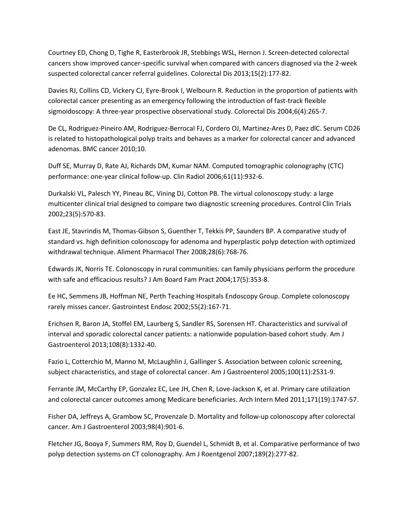Courtney ED, Chong D, Tighe R, Easterbrook JR, Stebbings WSL, Hernon J. Screen-detected colorectal cancers show improved cancer-specific survival when compared with cancers diagnosed via the 2-week suspected colorectal cancer referral guidelines. Colorectal Dis 2013;15(2):177-82.

Davies RJ, Collins CD, Vickery CJ, Eyre-Brook I, Welbourn R. Reduction in the proportion of patients with colorectal cancer presenting as an emergency following the introduction of fast-track flexible sigmoidoscopy: A three-year prospective observational study. Colorectal Dis 2004;6(4):265-7.

De CL, Rodriguez-Pineiro AM, Rodriguez-Berrocal FJ, Cordero OJ, Martinez-Ares D, Paez dlC. Serum CD26 is related to histopathological polyp traits and behaves as a marker for colorectal cancer and advanced adenomas. BMC cancer 2010;10.

Duff SE, Murray D, Rate AJ, Richards DM, Kumar NAM. Computed tomographic colonography (CTC) performance: one-year clinical follow-up. Clin Radiol 2006;61(11):932-6.

Durkalski VL, Palesch YY, Pineau BC, Vining DJ, Cotton PB. The virtual colonoscopy study: a large multicenter clinical trial designed to compare two diagnostic screening procedures. Control Clin Trials 2002;23(5):570-83.

East JE, Stavrindis M, Thomas-Gibson S, Guenther T, Tekkis PP, Saunders BP. A comparative study of standard vs. high definition colonoscopy for adenoma and hyperplastic polyp detection with optimized withdrawal technique. Aliment Pharmacol Ther 2008;28(6):768-76.

Edwards JK, Norris TE. Colonoscopy in rural communities: can family physicians perform the procedure with safe and efficacious results? J Am Board Fam Pract 2004;17(5):353-8.

Ee HC, Semmens JB, Hoffman NE, Perth Teaching Hospitals Endoscopy Group. Complete colonoscopy rarely misses cancer. Gastrointest Endosc 2002;55(2):167-71.

Erichsen R, Baron JA, Stoffel EM, Laurberg S, Sandler RS, Sorensen HT. Characteristics and survival of interval and sporadic colorectal cancer patients: a nationwide population-based cohort study. Am J Gastroenterol 2013;108(8):1332-40.

Fazio L, Cotterchio M, Manno M, McLaughlin J, Gallinger S. Association between colonic screening, subject characteristics, and stage of colorectal cancer. Am J Gastroenterol 2005;100(11):2531-9.

Ferrante JM, McCarthy EP, Gonzalez EC, Lee JH, Chen R, Love-Jackson K, et al. Primary care utilization and colorectal cancer outcomes among Medicare beneficiaries. Arch Intern Med 2011;171(19):1747-57.

Fisher DA, Jeffreys A, Grambow SC, Provenzale D. Mortality and follow-up colonoscopy after colorectal cancer. Am J Gastroenterol 2003;98(4):901-6.

Fletcher JG, Booya F, Summers RM, Roy D, Guendel L, Schmidt B, et al. Comparative performance of two polyp detection systems on CT colonography. Am J Roentgenol 2007;189(2):277-82.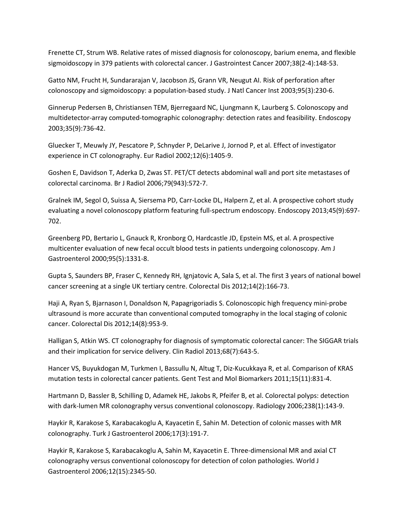Frenette CT, Strum WB. Relative rates of missed diagnosis for colonoscopy, barium enema, and flexible sigmoidoscopy in 379 patients with colorectal cancer. J Gastrointest Cancer 2007;38(2-4):148-53.

Gatto NM, Frucht H, Sundararajan V, Jacobson JS, Grann VR, Neugut AI. Risk of perforation after colonoscopy and sigmoidoscopy: a population-based study. J Natl Cancer Inst 2003;95(3):230-6.

Ginnerup Pedersen B, Christiansen TEM, Bjerregaard NC, Ljungmann K, Laurberg S. Colonoscopy and multidetector-array computed-tomographic colonography: detection rates and feasibility. Endoscopy 2003;35(9):736-42.

Gluecker T, Meuwly JY, Pescatore P, Schnyder P, DeLarive J, Jornod P, et al. Effect of investigator experience in CT colonography. Eur Radiol 2002;12(6):1405-9.

Goshen E, Davidson T, Aderka D, Zwas ST. PET/CT detects abdominal wall and port site metastases of colorectal carcinoma. Br J Radiol 2006;79(943):572-7.

Gralnek IM, Segol O, Suissa A, Siersema PD, Carr-Locke DL, Halpern Z, et al. A prospective cohort study evaluating a novel colonoscopy platform featuring full-spectrum endoscopy. Endoscopy 2013;45(9):697- 702.

Greenberg PD, Bertario L, Gnauck R, Kronborg O, Hardcastle JD, Epstein MS, et al. A prospective multicenter evaluation of new fecal occult blood tests in patients undergoing colonoscopy. Am J Gastroenterol 2000;95(5):1331-8.

Gupta S, Saunders BP, Fraser C, Kennedy RH, Ignjatovic A, Sala S, et al. The first 3 years of national bowel cancer screening at a single UK tertiary centre. Colorectal Dis 2012;14(2):166-73.

Haji A, Ryan S, Bjarnason I, Donaldson N, Papagrigoriadis S. Colonoscopic high frequency mini-probe ultrasound is more accurate than conventional computed tomography in the local staging of colonic cancer. Colorectal Dis 2012;14(8):953-9.

Halligan S, Atkin WS. CT colonography for diagnosis of symptomatic colorectal cancer: The SIGGAR trials and their implication for service delivery. Clin Radiol 2013;68(7):643-5.

Hancer VS, Buyukdogan M, Turkmen I, Bassullu N, Altug T, Diz-Kucukkaya R, et al. Comparison of KRAS mutation tests in colorectal cancer patients. Gent Test and Mol Biomarkers 2011;15(11):831-4.

Hartmann D, Bassler B, Schilling D, Adamek HE, Jakobs R, Pfeifer B, et al. Colorectal polyps: detection with dark-lumen MR colonography versus conventional colonoscopy. Radiology 2006;238(1):143-9.

Haykir R, Karakose S, Karabacakoglu A, Kayacetin E, Sahin M. Detection of colonic masses with MR colonography. Turk J Gastroenterol 2006;17(3):191-7.

Haykir R, Karakose S, Karabacakoglu A, Sahin M, Kayacetin E. Three-dimensional MR and axial CT colonography versus conventional colonoscopy for detection of colon pathologies. World J Gastroenterol 2006;12(15):2345-50.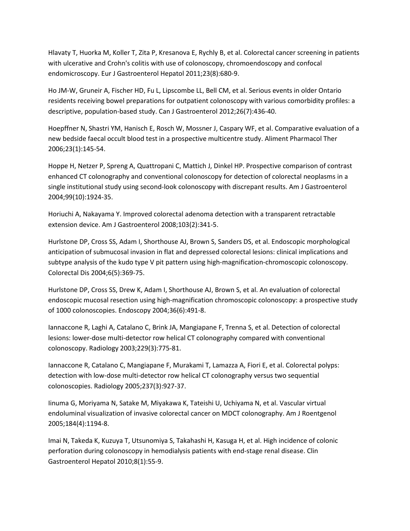Hlavaty T, Huorka M, Koller T, Zita P, Kresanova E, Rychly B, et al. Colorectal cancer screening in patients with ulcerative and Crohn's colitis with use of colonoscopy, chromoendoscopy and confocal endomicroscopy. Eur J Gastroenterol Hepatol 2011;23(8):680-9.

Ho JM-W, Gruneir A, Fischer HD, Fu L, Lipscombe LL, Bell CM, et al. Serious events in older Ontario residents receiving bowel preparations for outpatient colonoscopy with various comorbidity profiles: a descriptive, population-based study. Can J Gastroenterol 2012;26(7):436-40.

Hoepffner N, Shastri YM, Hanisch E, Rosch W, Mossner J, Caspary WF, et al. Comparative evaluation of a new bedside faecal occult blood test in a prospective multicentre study. Aliment Pharmacol Ther 2006;23(1):145-54.

Hoppe H, Netzer P, Spreng A, Quattropani C, Mattich J, Dinkel HP. Prospective comparison of contrast enhanced CT colonography and conventional colonoscopy for detection of colorectal neoplasms in a single institutional study using second-look colonoscopy with discrepant results. Am J Gastroenterol 2004;99(10):1924-35.

Horiuchi A, Nakayama Y. Improved colorectal adenoma detection with a transparent retractable extension device. Am J Gastroenterol 2008;103(2):341-5.

Hurlstone DP, Cross SS, Adam I, Shorthouse AJ, Brown S, Sanders DS, et al. Endoscopic morphological anticipation of submucosal invasion in flat and depressed colorectal lesions: clinical implications and subtype analysis of the kudo type V pit pattern using high-magnification-chromoscopic colonoscopy. Colorectal Dis 2004;6(5):369-75.

Hurlstone DP, Cross SS, Drew K, Adam I, Shorthouse AJ, Brown S, et al. An evaluation of colorectal endoscopic mucosal resection using high-magnification chromoscopic colonoscopy: a prospective study of 1000 colonoscopies. Endoscopy 2004;36(6):491-8.

Iannaccone R, Laghi A, Catalano C, Brink JA, Mangiapane F, Trenna S, et al. Detection of colorectal lesions: lower-dose multi-detector row helical CT colonography compared with conventional colonoscopy. Radiology 2003;229(3):775-81.

Iannaccone R, Catalano C, Mangiapane F, Murakami T, Lamazza A, Fiori E, et al. Colorectal polyps: detection with low-dose multi-detector row helical CT colonography versus two sequential colonoscopies. Radiology 2005;237(3):927-37.

Iinuma G, Moriyama N, Satake M, Miyakawa K, Tateishi U, Uchiyama N, et al. Vascular virtual endoluminal visualization of invasive colorectal cancer on MDCT colonography. Am J Roentgenol 2005;184(4):1194-8.

Imai N, Takeda K, Kuzuya T, Utsunomiya S, Takahashi H, Kasuga H, et al. High incidence of colonic perforation during colonoscopy in hemodialysis patients with end-stage renal disease. Clin Gastroenterol Hepatol 2010;8(1):55-9.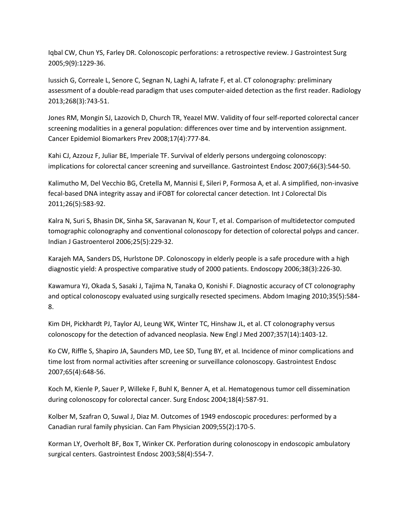Iqbal CW, Chun YS, Farley DR. Colonoscopic perforations: a retrospective review. J Gastrointest Surg 2005;9(9):1229-36.

Iussich G, Correale L, Senore C, Segnan N, Laghi A, Iafrate F, et al. CT colonography: preliminary assessment of a double-read paradigm that uses computer-aided detection as the first reader. Radiology 2013;268(3):743-51.

Jones RM, Mongin SJ, Lazovich D, Church TR, Yeazel MW. Validity of four self-reported colorectal cancer screening modalities in a general population: differences over time and by intervention assignment. Cancer Epidemiol Biomarkers Prev 2008;17(4):777-84.

Kahi CJ, Azzouz F, Juliar BE, Imperiale TF. Survival of elderly persons undergoing colonoscopy: implications for colorectal cancer screening and surveillance. Gastrointest Endosc 2007;66(3):544-50.

Kalimutho M, Del Vecchio BG, Cretella M, Mannisi E, Sileri P, Formosa A, et al. A simplified, non-invasive fecal-based DNA integrity assay and iFOBT for colorectal cancer detection. Int J Colorectal Dis 2011;26(5):583-92.

Kalra N, Suri S, Bhasin DK, Sinha SK, Saravanan N, Kour T, et al. Comparison of multidetector computed tomographic colonography and conventional colonoscopy for detection of colorectal polyps and cancer. Indian J Gastroenterol 2006;25(5):229-32.

Karajeh MA, Sanders DS, Hurlstone DP. Colonoscopy in elderly people is a safe procedure with a high diagnostic yield: A prospective comparative study of 2000 patients. Endoscopy 2006;38(3):226-30.

Kawamura YJ, Okada S, Sasaki J, Tajima N, Tanaka O, Konishi F. Diagnostic accuracy of CT colonography and optical colonoscopy evaluated using surgically resected specimens. Abdom Imaging 2010;35(5):584- 8.

Kim DH, Pickhardt PJ, Taylor AJ, Leung WK, Winter TC, Hinshaw JL, et al. CT colonography versus colonoscopy for the detection of advanced neoplasia. New Engl J Med 2007;357(14):1403-12.

Ko CW, Riffle S, Shapiro JA, Saunders MD, Lee SD, Tung BY, et al. Incidence of minor complications and time lost from normal activities after screening or surveillance colonoscopy. Gastrointest Endosc 2007;65(4):648-56.

Koch M, Kienle P, Sauer P, Willeke F, Buhl K, Benner A, et al. Hematogenous tumor cell dissemination during colonoscopy for colorectal cancer. Surg Endosc 2004;18(4):587-91.

Kolber M, Szafran O, Suwal J, Diaz M. Outcomes of 1949 endoscopic procedures: performed by a Canadian rural family physician. Can Fam Physician 2009;55(2):170-5.

Korman LY, Overholt BF, Box T, Winker CK. Perforation during colonoscopy in endoscopic ambulatory surgical centers. Gastrointest Endosc 2003;58(4):554-7.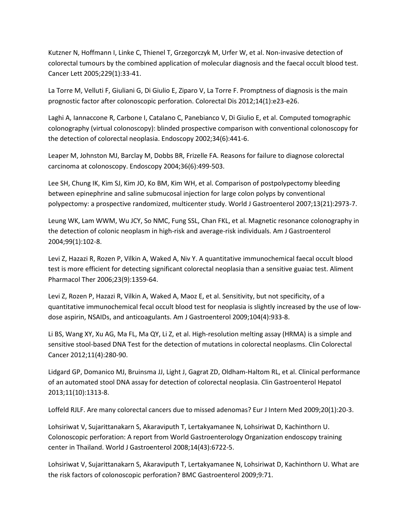Kutzner N, Hoffmann I, Linke C, Thienel T, Grzegorczyk M, Urfer W, et al. Non-invasive detection of colorectal tumours by the combined application of molecular diagnosis and the faecal occult blood test. Cancer Lett 2005;229(1):33-41.

La Torre M, Velluti F, Giuliani G, Di Giulio E, Ziparo V, La Torre F. Promptness of diagnosis is the main prognostic factor after colonoscopic perforation. Colorectal Dis 2012;14(1):e23-e26.

Laghi A, Iannaccone R, Carbone I, Catalano C, Panebianco V, Di Giulio E, et al. Computed tomographic colonography (virtual colonoscopy): blinded prospective comparison with conventional colonoscopy for the detection of colorectal neoplasia. Endoscopy 2002;34(6):441-6.

Leaper M, Johnston MJ, Barclay M, Dobbs BR, Frizelle FA. Reasons for failure to diagnose colorectal carcinoma at colonoscopy. Endoscopy 2004;36(6):499-503.

Lee SH, Chung IK, Kim SJ, Kim JO, Ko BM, Kim WH, et al. Comparison of postpolypectomy bleeding between epinephrine and saline submucosal injection for large colon polyps by conventional polypectomy: a prospective randomized, multicenter study. World J Gastroenterol 2007;13(21):2973-7.

Leung WK, Lam WWM, Wu JCY, So NMC, Fung SSL, Chan FKL, et al. Magnetic resonance colonography in the detection of colonic neoplasm in high-risk and average-risk individuals. Am J Gastroenterol 2004;99(1):102-8.

Levi Z, Hazazi R, Rozen P, Vilkin A, Waked A, Niv Y. A quantitative immunochemical faecal occult blood test is more efficient for detecting significant colorectal neoplasia than a sensitive guaiac test. Aliment Pharmacol Ther 2006;23(9):1359-64.

Levi Z, Rozen P, Hazazi R, Vilkin A, Waked A, Maoz E, et al. Sensitivity, but not specificity, of a quantitative immunochemical fecal occult blood test for neoplasia is slightly increased by the use of lowdose aspirin, NSAIDs, and anticoagulants. Am J Gastroenterol 2009;104(4):933-8.

Li BS, Wang XY, Xu AG, Ma FL, Ma QY, Li Z, et al. High-resolution melting assay (HRMA) is a simple and sensitive stool-based DNA Test for the detection of mutations in colorectal neoplasms. Clin Colorectal Cancer 2012;11(4):280-90.

Lidgard GP, Domanico MJ, Bruinsma JJ, Light J, Gagrat ZD, Oldham-Haltom RL, et al. Clinical performance of an automated stool DNA assay for detection of colorectal neoplasia. Clin Gastroenterol Hepatol 2013;11(10):1313-8.

Loffeld RJLF. Are many colorectal cancers due to missed adenomas? Eur J Intern Med 2009;20(1):20-3.

Lohsiriwat V, Sujarittanakarn S, Akaraviputh T, Lertakyamanee N, Lohsiriwat D, Kachinthorn U. Colonoscopic perforation: A report from World Gastroenterology Organization endoscopy training center in Thailand. World J Gastroenterol 2008;14(43):6722-5.

Lohsiriwat V, Sujarittanakarn S, Akaraviputh T, Lertakyamanee N, Lohsiriwat D, Kachinthorn U. What are the risk factors of colonoscopic perforation? BMC Gastroenterol 2009;9:71.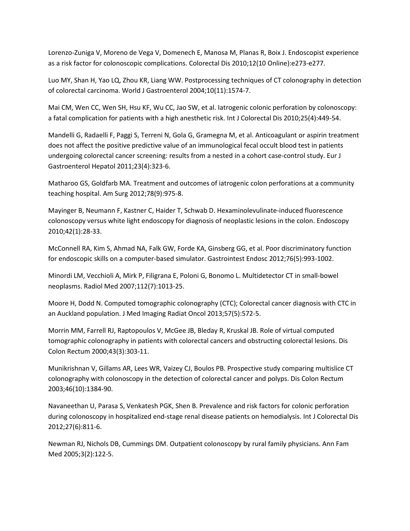Lorenzo-Zuniga V, Moreno de Vega V, Domenech E, Manosa M, Planas R, Boix J. Endoscopist experience as a risk factor for colonoscopic complications. Colorectal Dis 2010;12(10 Online):e273-e277.

Luo MY, Shan H, Yao LQ, Zhou KR, Liang WW. Postprocessing techniques of CT colonography in detection of colorectal carcinoma. World J Gastroenterol 2004;10(11):1574-7.

Mai CM, Wen CC, Wen SH, Hsu KF, Wu CC, Jao SW, et al. Iatrogenic colonic perforation by colonoscopy: a fatal complication for patients with a high anesthetic risk. Int J Colorectal Dis 2010;25(4):449-54.

Mandelli G, Radaelli F, Paggi S, Terreni N, Gola G, Gramegna M, et al. Anticoagulant or aspirin treatment does not affect the positive predictive value of an immunological fecal occult blood test in patients undergoing colorectal cancer screening: results from a nested in a cohort case-control study. Eur J Gastroenterol Hepatol 2011;23(4):323-6.

Matharoo GS, Goldfarb MA. Treatment and outcomes of iatrogenic colon perforations at a community teaching hospital. Am Surg 2012;78(9):975-8.

Mayinger B, Neumann F, Kastner C, Haider T, Schwab D. Hexaminolevulinate-induced fluorescence colonoscopy versus white light endoscopy for diagnosis of neoplastic lesions in the colon. Endoscopy 2010;42(1):28-33.

McConnell RA, Kim S, Ahmad NA, Falk GW, Forde KA, Ginsberg GG, et al. Poor discriminatory function for endoscopic skills on a computer-based simulator. Gastrointest Endosc 2012;76(5):993-1002.

Minordi LM, Vecchioli A, Mirk P, Filigrana E, Poloni G, Bonomo L. Multidetector CT in small-bowel neoplasms. Radiol Med 2007;112(7):1013-25.

Moore H, Dodd N. Computed tomographic colonography (CTC); Colorectal cancer diagnosis with CTC in an Auckland population. J Med Imaging Radiat Oncol 2013;57(5):572-5.

Morrin MM, Farrell RJ, Raptopoulos V, McGee JB, Bleday R, Kruskal JB. Role of virtual computed tomographic colonography in patients with colorectal cancers and obstructing colorectal lesions. Dis Colon Rectum 2000;43(3):303-11.

Munikrishnan V, Gillams AR, Lees WR, Vaizey CJ, Boulos PB. Prospective study comparing multislice CT colonography with colonoscopy in the detection of colorectal cancer and polyps. Dis Colon Rectum 2003;46(10):1384-90.

Navaneethan U, Parasa S, Venkatesh PGK, Shen B. Prevalence and risk factors for colonic perforation during colonoscopy in hospitalized end-stage renal disease patients on hemodialysis. Int J Colorectal Dis 2012;27(6):811-6.

Newman RJ, Nichols DB, Cummings DM. Outpatient colonoscopy by rural family physicians. Ann Fam Med 2005;3(2):122-5.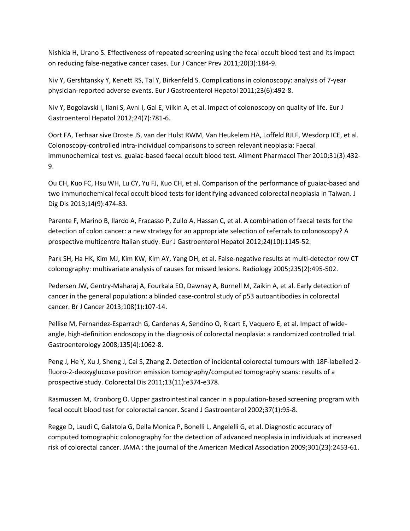Nishida H, Urano S. Effectiveness of repeated screening using the fecal occult blood test and its impact on reducing false-negative cancer cases. Eur J Cancer Prev 2011;20(3):184-9.

Niv Y, Gershtansky Y, Kenett RS, Tal Y, Birkenfeld S. Complications in colonoscopy: analysis of 7-year physician-reported adverse events. Eur J Gastroenterol Hepatol 2011;23(6):492-8.

Niv Y, Bogolavski I, Ilani S, Avni I, Gal E, Vilkin A, et al. Impact of colonoscopy on quality of life. Eur J Gastroenterol Hepatol 2012;24(7):781-6.

Oort FA, Terhaar sive Droste JS, van der Hulst RWM, Van Heukelem HA, Loffeld RJLF, Wesdorp ICE, et al. Colonoscopy-controlled intra-individual comparisons to screen relevant neoplasia: Faecal immunochemical test vs. guaiac-based faecal occult blood test. Aliment Pharmacol Ther 2010;31(3):432- 9.

Ou CH, Kuo FC, Hsu WH, Lu CY, Yu FJ, Kuo CH, et al. Comparison of the performance of guaiac-based and two immunochemical fecal occult blood tests for identifying advanced colorectal neoplasia in Taiwan. J Dig Dis 2013;14(9):474-83.

Parente F, Marino B, Ilardo A, Fracasso P, Zullo A, Hassan C, et al. A combination of faecal tests for the detection of colon cancer: a new strategy for an appropriate selection of referrals to colonoscopy? A prospective multicentre Italian study. Eur J Gastroenterol Hepatol 2012;24(10):1145-52.

Park SH, Ha HK, Kim MJ, Kim KW, Kim AY, Yang DH, et al. False-negative results at multi-detector row CT colonography: multivariate analysis of causes for missed lesions. Radiology 2005;235(2):495-502.

Pedersen JW, Gentry-Maharaj A, Fourkala EO, Dawnay A, Burnell M, Zaikin A, et al. Early detection of cancer in the general population: a blinded case-control study of p53 autoantibodies in colorectal cancer. Br J Cancer 2013;108(1):107-14.

Pellise M, Fernandez-Esparrach G, Cardenas A, Sendino O, Ricart E, Vaquero E, et al. Impact of wideangle, high-definition endoscopy in the diagnosis of colorectal neoplasia: a randomized controlled trial. Gastroenterology 2008;135(4):1062-8.

Peng J, He Y, Xu J, Sheng J, Cai S, Zhang Z. Detection of incidental colorectal tumours with 18F-labelled 2 fluoro-2-deoxyglucose positron emission tomography/computed tomography scans: results of a prospective study. Colorectal Dis 2011;13(11):e374-e378.

Rasmussen M, Kronborg O. Upper gastrointestinal cancer in a population-based screening program with fecal occult blood test for colorectal cancer. Scand J Gastroenterol 2002;37(1):95-8.

Regge D, Laudi C, Galatola G, Della Monica P, Bonelli L, Angelelli G, et al. Diagnostic accuracy of computed tomographic colonography for the detection of advanced neoplasia in individuals at increased risk of colorectal cancer. JAMA : the journal of the American Medical Association 2009;301(23):2453-61.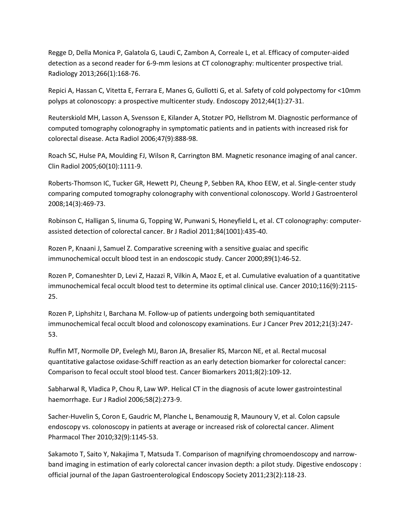Regge D, Della Monica P, Galatola G, Laudi C, Zambon A, Correale L, et al. Efficacy of computer-aided detection as a second reader for 6-9-mm lesions at CT colonography: multicenter prospective trial. Radiology 2013;266(1):168-76.

Repici A, Hassan C, Vitetta E, Ferrara E, Manes G, Gullotti G, et al. Safety of cold polypectomy for <10mm polyps at colonoscopy: a prospective multicenter study. Endoscopy 2012;44(1):27-31.

Reuterskiold MH, Lasson A, Svensson E, Kilander A, Stotzer PO, Hellstrom M. Diagnostic performance of computed tomography colonography in symptomatic patients and in patients with increased risk for colorectal disease. Acta Radiol 2006;47(9):888-98.

Roach SC, Hulse PA, Moulding FJ, Wilson R, Carrington BM. Magnetic resonance imaging of anal cancer. Clin Radiol 2005;60(10):1111-9.

Roberts-Thomson IC, Tucker GR, Hewett PJ, Cheung P, Sebben RA, Khoo EEW, et al. Single-center study comparing computed tomography colonography with conventional colonoscopy. World J Gastroenterol 2008;14(3):469-73.

Robinson C, Halligan S, Iinuma G, Topping W, Punwani S, Honeyfield L, et al. CT colonography: computerassisted detection of colorectal cancer. Br J Radiol 2011;84(1001):435-40.

Rozen P, Knaani J, Samuel Z. Comparative screening with a sensitive guaiac and specific immunochemical occult blood test in an endoscopic study. Cancer 2000;89(1):46-52.

Rozen P, Comaneshter D, Levi Z, Hazazi R, Vilkin A, Maoz E, et al. Cumulative evaluation of a quantitative immunochemical fecal occult blood test to determine its optimal clinical use. Cancer 2010;116(9):2115- 25.

Rozen P, Liphshitz I, Barchana M. Follow-up of patients undergoing both semiquantitated immunochemical fecal occult blood and colonoscopy examinations. Eur J Cancer Prev 2012;21(3):247- 53.

Ruffin MT, Normolle DP, Evelegh MJ, Baron JA, Bresalier RS, Marcon NE, et al. Rectal mucosal quantitative galactose oxidase-Schiff reaction as an early detection biomarker for colorectal cancer: Comparison to fecal occult stool blood test. Cancer Biomarkers 2011;8(2):109-12.

Sabharwal R, Vladica P, Chou R, Law WP. Helical CT in the diagnosis of acute lower gastrointestinal haemorrhage. Eur J Radiol 2006;58(2):273-9.

Sacher-Huvelin S, Coron E, Gaudric M, Planche L, Benamouzig R, Maunoury V, et al. Colon capsule endoscopy vs. colonoscopy in patients at average or increased risk of colorectal cancer. Aliment Pharmacol Ther 2010;32(9):1145-53.

Sakamoto T, Saito Y, Nakajima T, Matsuda T. Comparison of magnifying chromoendoscopy and narrowband imaging in estimation of early colorectal cancer invasion depth: a pilot study. Digestive endoscopy : official journal of the Japan Gastroenterological Endoscopy Society 2011;23(2):118-23.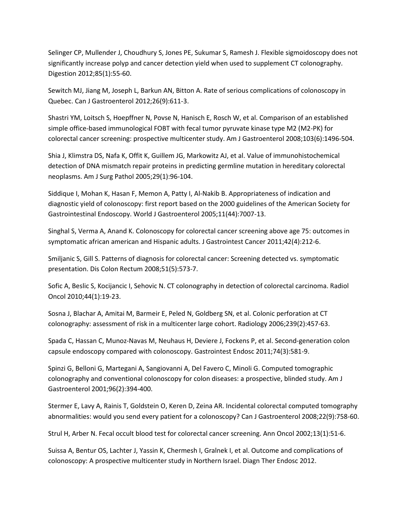Selinger CP, Mullender J, Choudhury S, Jones PE, Sukumar S, Ramesh J. Flexible sigmoidoscopy does not significantly increase polyp and cancer detection yield when used to supplement CT colonography. Digestion 2012;85(1):55-60.

Sewitch MJ, Jiang M, Joseph L, Barkun AN, Bitton A. Rate of serious complications of colonoscopy in Quebec. Can J Gastroenterol 2012;26(9):611-3.

Shastri YM, Loitsch S, Hoepffner N, Povse N, Hanisch E, Rosch W, et al. Comparison of an established simple office-based immunological FOBT with fecal tumor pyruvate kinase type M2 (M2-PK) for colorectal cancer screening: prospective multicenter study. Am J Gastroenterol 2008;103(6):1496-504.

Shia J, Klimstra DS, Nafa K, Offit K, Guillem JG, Markowitz AJ, et al. Value of immunohistochemical detection of DNA mismatch repair proteins in predicting germline mutation in hereditary colorectal neoplasms. Am J Surg Pathol 2005;29(1):96-104.

Siddique I, Mohan K, Hasan F, Memon A, Patty I, Al-Nakib B. Appropriateness of indication and diagnostic yield of colonoscopy: first report based on the 2000 guidelines of the American Society for Gastrointestinal Endoscopy. World J Gastroenterol 2005;11(44):7007-13.

Singhal S, Verma A, Anand K. Colonoscopy for colorectal cancer screening above age 75: outcomes in symptomatic african american and Hispanic adults. J Gastrointest Cancer 2011;42(4):212-6.

Smiljanic S, Gill S. Patterns of diagnosis for colorectal cancer: Screening detected vs. symptomatic presentation. Dis Colon Rectum 2008;51(5):573-7.

Sofic A, Beslic S, Kocijancic I, Sehovic N. CT colonography in detection of colorectal carcinoma. Radiol Oncol 2010;44(1):19-23.

Sosna J, Blachar A, Amitai M, Barmeir E, Peled N, Goldberg SN, et al. Colonic perforation at CT colonography: assessment of risk in a multicenter large cohort. Radiology 2006;239(2):457-63.

Spada C, Hassan C, Munoz-Navas M, Neuhaus H, Deviere J, Fockens P, et al. Second-generation colon capsule endoscopy compared with colonoscopy. Gastrointest Endosc 2011;74(3):581-9.

Spinzi G, Belloni G, Martegani A, Sangiovanni A, Del Favero C, Minoli G. Computed tomographic colonography and conventional colonoscopy for colon diseases: a prospective, blinded study. Am J Gastroenterol 2001;96(2):394-400.

Stermer E, Lavy A, Rainis T, Goldstein O, Keren D, Zeina AR. Incidental colorectal computed tomography abnormalities: would you send every patient for a colonoscopy? Can J Gastroenterol 2008;22(9):758-60.

Strul H, Arber N. Fecal occult blood test for colorectal cancer screening. Ann Oncol 2002;13(1):51-6.

Suissa A, Bentur OS, Lachter J, Yassin K, Chermesh I, Gralnek I, et al. Outcome and complications of colonoscopy: A prospective multicenter study in Northern Israel. Diagn Ther Endosc 2012.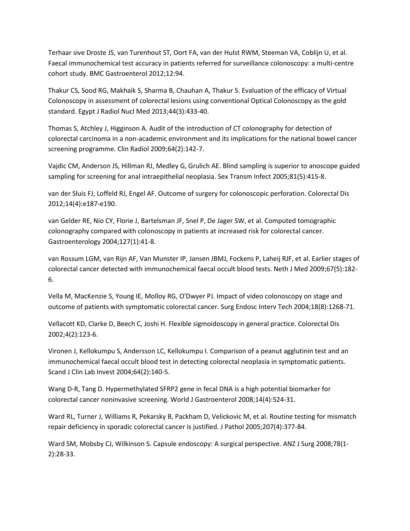Terhaar sive Droste JS, van Turenhout ST, Oort FA, van der Hulst RWM, Steeman VA, Coblijn U, et al. Faecal immunochemical test accuracy in patients referred for surveillance colonoscopy: a multi-centre cohort study. BMC Gastroenterol 2012;12:94.

Thakur CS, Sood RG, Makhaik S, Sharma B, Chauhan A, Thakur S. Evaluation of the efficacy of Virtual Colonoscopy in assessment of colorectal lesions using conventional Optical Colonoscopy as the gold standard. Egypt J Radiol Nucl Med 2013;44(3):433-40.

Thomas S, Atchley J, Higginson A. Audit of the introduction of CT colonography for detection of colorectal carcinoma in a non-academic environment and its implications for the national bowel cancer screening programme. Clin Radiol 2009;64(2):142-7.

Vajdic CM, Anderson JS, Hillman RJ, Medley G, Grulich AE. Blind sampling is superior to anoscope guided sampling for screening for anal intraepithelial neoplasia. Sex Transm Infect 2005;81(5):415-8.

van der Sluis FJ, Loffeld RJ, Engel AF. Outcome of surgery for colonoscopic perforation. Colorectal Dis 2012;14(4):e187-e190.

van Gelder RE, Nio CY, Florie J, Bartelsman JF, Snel P, De Jager SW, et al. Computed tomographic colonography compared with colonoscopy in patients at increased risk for colorectal cancer. Gastroenterology 2004;127(1):41-8.

van Rossum LGM, van Rijn AF, Van Munster IP, Jansen JBMJ, Fockens P, Laheij RJF, et al. Earlier stages of colorectal cancer detected with immunochemical faecal occult blood tests. Neth J Med 2009;67(5):182- 6.

Vella M, MacKenzie S, Young IE, Molloy RG, O'Dwyer PJ. Impact of video colonoscopy on stage and outcome of patients with symptomatic colorectal cancer. Surg Endosc Interv Tech 2004;18(8):1268-71.

Vellacott KD, Clarke D, Beech C, Joshi H. Flexible sigmoidoscopy in general practice. Colorectal Dis 2002;4(2):123-6.

Vironen J, Kellokumpu S, Andersson LC, Kellokumpu I. Comparison of a peanut agglutinin test and an immunochemical faecal occult blood test in detecting colorectal neoplasia in symptomatic patients. Scand J Clin Lab Invest 2004;64(2):140-5.

Wang D-R, Tang D. Hypermethylated SFRP2 gene in fecal DNA is a high potential biomarker for colorectal cancer noninvasive screening. World J Gastroenterol 2008;14(4):524-31.

Ward RL, Turner J, Williams R, Pekarsky B, Packham D, Velickovic M, et al. Routine testing for mismatch repair deficiency in sporadic colorectal cancer is justified. J Pathol 2005;207(4):377-84.

Ward SM, Mobsby CJ, Wilkinson S. Capsule endoscopy: A surgical perspective. ANZ J Surg 2008;78(1- 2):28-33.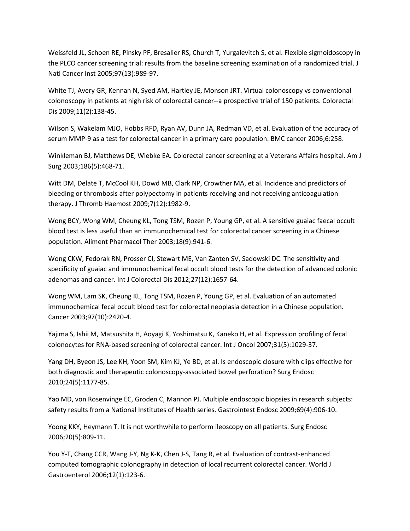Weissfeld JL, Schoen RE, Pinsky PF, Bresalier RS, Church T, Yurgalevitch S, et al. Flexible sigmoidoscopy in the PLCO cancer screening trial: results from the baseline screening examination of a randomized trial. J Natl Cancer Inst 2005;97(13):989-97.

White TJ, Avery GR, Kennan N, Syed AM, Hartley JE, Monson JRT. Virtual colonoscopy vs conventional colonoscopy in patients at high risk of colorectal cancer--a prospective trial of 150 patients. Colorectal Dis 2009;11(2):138-45.

Wilson S, Wakelam MJO, Hobbs RFD, Ryan AV, Dunn JA, Redman VD, et al. Evaluation of the accuracy of serum MMP-9 as a test for colorectal cancer in a primary care population. BMC cancer 2006;6:258.

Winkleman BJ, Matthews DE, Wiebke EA. Colorectal cancer screening at a Veterans Affairs hospital. Am J Surg 2003;186(5):468-71.

Witt DM, Delate T, McCool KH, Dowd MB, Clark NP, Crowther MA, et al. Incidence and predictors of bleeding or thrombosis after polypectomy in patients receiving and not receiving anticoagulation therapy. J Thromb Haemost 2009;7(12):1982-9.

Wong BCY, Wong WM, Cheung KL, Tong TSM, Rozen P, Young GP, et al. A sensitive guaiac faecal occult blood test is less useful than an immunochemical test for colorectal cancer screening in a Chinese population. Aliment Pharmacol Ther 2003;18(9):941-6.

Wong CKW, Fedorak RN, Prosser CI, Stewart ME, Van Zanten SV, Sadowski DC. The sensitivity and specificity of guaiac and immunochemical fecal occult blood tests for the detection of advanced colonic adenomas and cancer. Int J Colorectal Dis 2012;27(12):1657-64.

Wong WM, Lam SK, Cheung KL, Tong TSM, Rozen P, Young GP, et al. Evaluation of an automated immunochemical fecal occult blood test for colorectal neoplasia detection in a Chinese population. Cancer 2003;97(10):2420-4.

Yajima S, Ishii M, Matsushita H, Aoyagi K, Yoshimatsu K, Kaneko H, et al. Expression profiling of fecal colonocytes for RNA-based screening of colorectal cancer. Int J Oncol 2007;31(5):1029-37.

Yang DH, Byeon JS, Lee KH, Yoon SM, Kim KJ, Ye BD, et al. Is endoscopic closure with clips effective for both diagnostic and therapeutic colonoscopy-associated bowel perforation? Surg Endosc 2010;24(5):1177-85.

Yao MD, von Rosenvinge EC, Groden C, Mannon PJ. Multiple endoscopic biopsies in research subjects: safety results from a National Institutes of Health series. Gastrointest Endosc 2009;69(4):906-10.

Yoong KKY, Heymann T. It is not worthwhile to perform ileoscopy on all patients. Surg Endosc 2006;20(5):809-11.

You Y-T, Chang CCR, Wang J-Y, Ng K-K, Chen J-S, Tang R, et al. Evaluation of contrast-enhanced computed tomographic colonography in detection of local recurrent colorectal cancer. World J Gastroenterol 2006;12(1):123-6.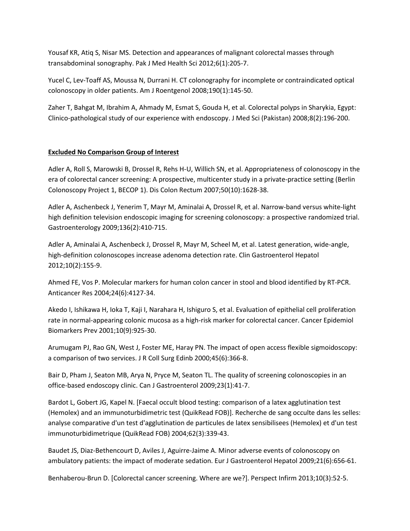Yousaf KR, Atiq S, Nisar MS. Detection and appearances of malignant colorectal masses through transabdominal sonography. Pak J Med Health Sci 2012;6(1):205-7.

Yucel C, Lev-Toaff AS, Moussa N, Durrani H. CT colonography for incomplete or contraindicated optical colonoscopy in older patients. Am J Roentgenol 2008;190(1):145-50.

Zaher T, Bahgat M, Ibrahim A, Ahmady M, Esmat S, Gouda H, et al. Colorectal polyps in Sharykia, Egypt: Clinico-pathological study of our experience with endoscopy. J Med Sci (Pakistan) 2008;8(2):196-200.

# **Excluded No Comparison Group of Interest**

Adler A, Roll S, Marowski B, Drossel R, Rehs H-U, Willich SN, et al. Appropriateness of colonoscopy in the era of colorectal cancer screening: A prospective, multicenter study in a private-practice setting (Berlin Colonoscopy Project 1, BECOP 1). Dis Colon Rectum 2007;50(10):1628-38.

Adler A, Aschenbeck J, Yenerim T, Mayr M, Aminalai A, Drossel R, et al. Narrow-band versus white-light high definition television endoscopic imaging for screening colonoscopy: a prospective randomized trial. Gastroenterology 2009;136(2):410-715.

Adler A, Aminalai A, Aschenbeck J, Drossel R, Mayr M, Scheel M, et al. Latest generation, wide-angle, high-definition colonoscopes increase adenoma detection rate. Clin Gastroenterol Hepatol 2012;10(2):155-9.

Ahmed FE, Vos P. Molecular markers for human colon cancer in stool and blood identified by RT-PCR. Anticancer Res 2004;24(6):4127-34.

Akedo I, Ishikawa H, Ioka T, Kaji I, Narahara H, Ishiguro S, et al. Evaluation of epithelial cell proliferation rate in normal-appearing colonic mucosa as a high-risk marker for colorectal cancer. Cancer Epidemiol Biomarkers Prev 2001;10(9):925-30.

Arumugam PJ, Rao GN, West J, Foster ME, Haray PN. The impact of open access flexible sigmoidoscopy: a comparison of two services. J R Coll Surg Edinb 2000;45(6):366-8.

Bair D, Pham J, Seaton MB, Arya N, Pryce M, Seaton TL. The quality of screening colonoscopies in an office-based endoscopy clinic. Can J Gastroenterol 2009;23(1):41-7.

Bardot L, Gobert JG, Kapel N. [Faecal occult blood testing: comparison of a latex agglutination test (Hemolex) and an immunoturbidimetric test (QuikRead FOB)]. Recherche de sang occulte dans les selles: analyse comparative d'un test d'agglutination de particules de latex sensibilisees (Hemolex) et d'un test immunoturbidimetrique (QuikRead FOB) 2004;62(3):339-43.

Baudet JS, Diaz-Bethencourt D, Aviles J, Aguirre-Jaime A. Minor adverse events of colonoscopy on ambulatory patients: the impact of moderate sedation. Eur J Gastroenterol Hepatol 2009;21(6):656-61.

Benhaberou-Brun D. [Colorectal cancer screening. Where are we?]. Perspect Infirm 2013;10(3):52-5.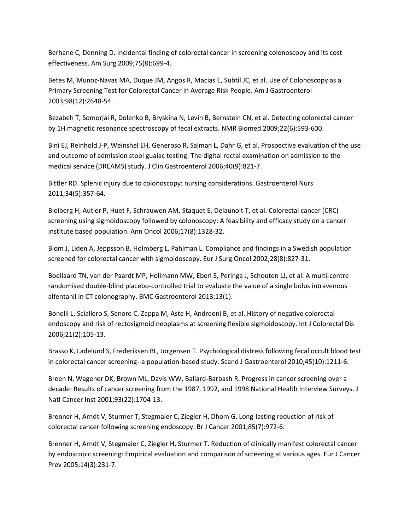Berhane C, Denning D. Incidental finding of colorectal cancer in screening colonoscopy and its cost effectiveness. Am Surg 2009;75(8):699-4.

Betes M, Munoz-Navas MA, Duque JM, Angos R, Macias E, Subtil JC, et al. Use of Colonoscopy as a Primary Screening Test for Colorectal Cancer in Average Risk People. Am J Gastroenterol 2003;98(12):2648-54.

Bezabeh T, Somorjai R, Dolenko B, Bryskina N, Levin B, Bernstein CN, et al. Detecting colorectal cancer by 1H magnetic resonance spectroscopy of fecal extracts. NMR Biomed 2009;22(6):593-600.

Bini EJ, Reinhold J-P, Weinshel EH, Generoso R, Salman L, Dahr G, et al. Prospective evaluation of the use and outcome of admission stool guaiac testing: The digital rectal examination on admission to the medical service (DREAMS) study. J Clin Gastroenterol 2006;40(9):821-7.

Bittler RD. Splenic injury due to colonoscopy: nursing considerations. Gastroenterol Nurs 2011;34(5):357-64.

Bleiberg H, Autier P, Huet F, Schrauwen AM, Staquet E, Delaunoit T, et al. Colorectal cancer (CRC) screening using sigmoidoscopy followed by colonoscopy: A feasibility and efficacy study on a cancer institute based population. Ann Oncol 2006;17(8):1328-32.

Blom J, Liden A, Jeppsson B, Holmberg L, Pahlman L. Compliance and findings in a Swedish population screened for colorectal cancer with sigmoidoscopy. Eur J Surg Oncol 2002;28(8):827-31.

Boellaard TN, van der Paardt MP, Hollmann MW, Eberl S, Peringa J, Schouten LJ, et al. A multi-centre randomised double-blind placebo-controlled trial to evaluate the value of a single bolus intravenous alfentanil in CT colonography. BMC Gastroenterol 2013;13(1).

Bonelli L, Sciallero S, Senore C, Zappa M, Aste H, Andreoni B, et al. History of negative colorectal endoscopy and risk of rectosigmoid neoplasms at screening flexible sigmoidoscopy. Int J Colorectal Dis 2006;21(2):105-13.

Brasso K, Ladelund S, Frederiksen BL, Jorgensen T. Psychological distress following fecal occult blood test in colorectal cancer screening--a population-based study. Scand J Gastroenterol 2010;45(10):1211-6.

Breen N, Wagener DK, Brown ML, Davis WW, Ballard-Barbash R. Progress in cancer screening over a decade: Results of cancer screening from the 1987, 1992, and 1998 National Health Interview Surveys. J Natl Cancer Inst 2001;93(22):1704-13.

Brenner H, Arndt V, Sturmer T, Stegmaier C, Ziegler H, Dhom G. Long-lasting reduction of risk of colorectal cancer following screening endoscopy. Br J Cancer 2001;85(7):972-6.

Brenner H, Arndt V, Stegmaier C, Ziegler H, Sturmer T. Reduction of clinically manifest colorectal cancer by endoscopic screening: Empirical evaluation and comparison of screening at various ages. Eur J Cancer Prev 2005;14(3):231-7.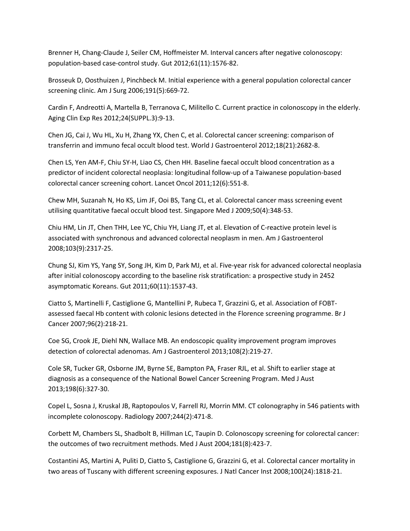Brenner H, Chang-Claude J, Seiler CM, Hoffmeister M. Interval cancers after negative colonoscopy: population-based case-control study. Gut 2012;61(11):1576-82.

Brosseuk D, Oosthuizen J, Pinchbeck M. Initial experience with a general population colorectal cancer screening clinic. Am J Surg 2006;191(5):669-72.

Cardin F, Andreotti A, Martella B, Terranova C, Militello C. Current practice in colonoscopy in the elderly. Aging Clin Exp Res 2012;24(SUPPL.3):9-13.

Chen JG, Cai J, Wu HL, Xu H, Zhang YX, Chen C, et al. Colorectal cancer screening: comparison of transferrin and immuno fecal occult blood test. World J Gastroenterol 2012;18(21):2682-8.

Chen LS, Yen AM-F, Chiu SY-H, Liao CS, Chen HH. Baseline faecal occult blood concentration as a predictor of incident colorectal neoplasia: longitudinal follow-up of a Taiwanese population-based colorectal cancer screening cohort. Lancet Oncol 2011;12(6):551-8.

Chew MH, Suzanah N, Ho KS, Lim JF, Ooi BS, Tang CL, et al. Colorectal cancer mass screening event utilising quantitative faecal occult blood test. Singapore Med J 2009;50(4):348-53.

Chiu HM, Lin JT, Chen THH, Lee YC, Chiu YH, Liang JT, et al. Elevation of C-reactive protein level is associated with synchronous and advanced colorectal neoplasm in men. Am J Gastroenterol 2008;103(9):2317-25.

Chung SJ, Kim YS, Yang SY, Song JH, Kim D, Park MJ, et al. Five-year risk for advanced colorectal neoplasia after initial colonoscopy according to the baseline risk stratification: a prospective study in 2452 asymptomatic Koreans. Gut 2011;60(11):1537-43.

Ciatto S, Martinelli F, Castiglione G, Mantellini P, Rubeca T, Grazzini G, et al. Association of FOBTassessed faecal Hb content with colonic lesions detected in the Florence screening programme. Br J Cancer 2007;96(2):218-21.

Coe SG, Crook JE, Diehl NN, Wallace MB. An endoscopic quality improvement program improves detection of colorectal adenomas. Am J Gastroenterol 2013;108(2):219-27.

Cole SR, Tucker GR, Osborne JM, Byrne SE, Bampton PA, Fraser RJL, et al. Shift to earlier stage at diagnosis as a consequence of the National Bowel Cancer Screening Program. Med J Aust 2013;198(6):327-30.

Copel L, Sosna J, Kruskal JB, Raptopoulos V, Farrell RJ, Morrin MM. CT colonography in 546 patients with incomplete colonoscopy. Radiology 2007;244(2):471-8.

Corbett M, Chambers SL, Shadbolt B, Hillman LC, Taupin D. Colonoscopy screening for colorectal cancer: the outcomes of two recruitment methods. Med J Aust 2004;181(8):423-7.

Costantini AS, Martini A, Puliti D, Ciatto S, Castiglione G, Grazzini G, et al. Colorectal cancer mortality in two areas of Tuscany with different screening exposures. J Natl Cancer Inst 2008;100(24):1818-21.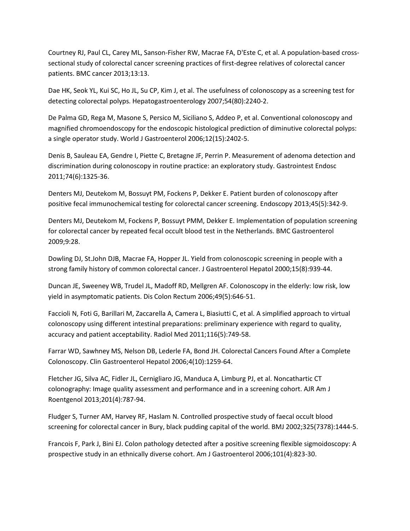Courtney RJ, Paul CL, Carey ML, Sanson-Fisher RW, Macrae FA, D'Este C, et al. A population-based crosssectional study of colorectal cancer screening practices of first-degree relatives of colorectal cancer patients. BMC cancer 2013;13:13.

Dae HK, Seok YL, Kui SC, Ho JL, Su CP, Kim J, et al. The usefulness of colonoscopy as a screening test for detecting colorectal polyps. Hepatogastroenterology 2007;54(80):2240-2.

De Palma GD, Rega M, Masone S, Persico M, Siciliano S, Addeo P, et al. Conventional colonoscopy and magnified chromoendoscopy for the endoscopic histological prediction of diminutive colorectal polyps: a single operator study. World J Gastroenterol 2006;12(15):2402-5.

Denis B, Sauleau EA, Gendre I, Piette C, Bretagne JF, Perrin P. Measurement of adenoma detection and discrimination during colonoscopy in routine practice: an exploratory study. Gastrointest Endosc 2011;74(6):1325-36.

Denters MJ, Deutekom M, Bossuyt PM, Fockens P, Dekker E. Patient burden of colonoscopy after positive fecal immunochemical testing for colorectal cancer screening. Endoscopy 2013;45(5):342-9.

Denters MJ, Deutekom M, Fockens P, Bossuyt PMM, Dekker E. Implementation of population screening for colorectal cancer by repeated fecal occult blood test in the Netherlands. BMC Gastroenterol 2009;9:28.

Dowling DJ, St.John DJB, Macrae FA, Hopper JL. Yield from colonoscopic screening in people with a strong family history of common colorectal cancer. J Gastroenterol Hepatol 2000;15(8):939-44.

Duncan JE, Sweeney WB, Trudel JL, Madoff RD, Mellgren AF. Colonoscopy in the elderly: low risk, low yield in asymptomatic patients. Dis Colon Rectum 2006;49(5):646-51.

Faccioli N, Foti G, Barillari M, Zaccarella A, Camera L, Biasiutti C, et al. A simplified approach to virtual colonoscopy using different intestinal preparations: preliminary experience with regard to quality, accuracy and patient acceptability. Radiol Med 2011;116(5):749-58.

Farrar WD, Sawhney MS, Nelson DB, Lederle FA, Bond JH. Colorectal Cancers Found After a Complete Colonoscopy. Clin Gastroenterol Hepatol 2006;4(10):1259-64.

Fletcher JG, Silva AC, Fidler JL, Cernigliaro JG, Manduca A, Limburg PJ, et al. Noncathartic CT colonography: Image quality assessment and performance and in a screening cohort. AJR Am J Roentgenol 2013;201(4):787-94.

Fludger S, Turner AM, Harvey RF, Haslam N. Controlled prospective study of faecal occult blood screening for colorectal cancer in Bury, black pudding capital of the world. BMJ 2002;325(7378):1444-5.

Francois F, Park J, Bini EJ. Colon pathology detected after a positive screening flexible sigmoidoscopy: A prospective study in an ethnically diverse cohort. Am J Gastroenterol 2006;101(4):823-30.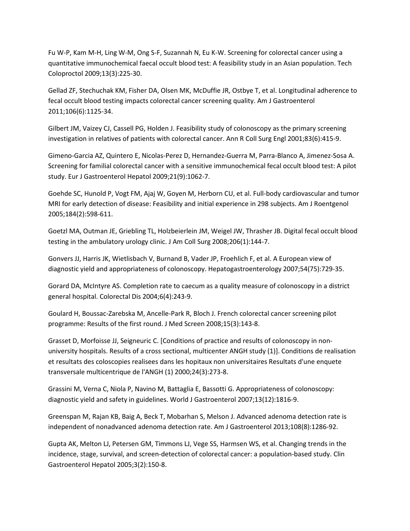Fu W-P, Kam M-H, Ling W-M, Ong S-F, Suzannah N, Eu K-W. Screening for colorectal cancer using a quantitative immunochemical faecal occult blood test: A feasibility study in an Asian population. Tech Coloproctol 2009;13(3):225-30.

Gellad ZF, Stechuchak KM, Fisher DA, Olsen MK, McDuffie JR, Ostbye T, et al. Longitudinal adherence to fecal occult blood testing impacts colorectal cancer screening quality. Am J Gastroenterol 2011;106(6):1125-34.

Gilbert JM, Vaizey CJ, Cassell PG, Holden J. Feasibility study of colonoscopy as the primary screening investigation in relatives of patients with colorectal cancer. Ann R Coll Surg Engl 2001;83(6):415-9.

Gimeno-Garcia AZ, Quintero E, Nicolas-Perez D, Hernandez-Guerra M, Parra-Blanco A, Jimenez-Sosa A. Screening for familial colorectal cancer with a sensitive immunochemical fecal occult blood test: A pilot study. Eur J Gastroenterol Hepatol 2009;21(9):1062-7.

Goehde SC, Hunold P, Vogt FM, Ajaj W, Goyen M, Herborn CU, et al. Full-body cardiovascular and tumor MRI for early detection of disease: Feasibility and initial experience in 298 subjects. Am J Roentgenol 2005;184(2):598-611.

Goetzl MA, Outman JE, Griebling TL, Holzbeierlein JM, Weigel JW, Thrasher JB. Digital fecal occult blood testing in the ambulatory urology clinic. J Am Coll Surg 2008;206(1):144-7.

Gonvers JJ, Harris JK, Wietlisbach V, Burnand B, Vader JP, Froehlich F, et al. A European view of diagnostic yield and appropriateness of colonoscopy. Hepatogastroenterology 2007;54(75):729-35.

Gorard DA, McIntyre AS. Completion rate to caecum as a quality measure of colonoscopy in a district general hospital. Colorectal Dis 2004;6(4):243-9.

Goulard H, Boussac-Zarebska M, Ancelle-Park R, Bloch J. French colorectal cancer screening pilot programme: Results of the first round. J Med Screen 2008;15(3):143-8.

Grasset D, Morfoisse JJ, Seigneuric C. [Conditions of practice and results of colonoscopy in nonuniversity hospitals. Results of a cross sectional, multicenter ANGH study (1)]. Conditions de realisation et resultats des coloscopies realisees dans les hopitaux non universitaires Resultats d'une enquete transversale multicentrique de l'ANGH (1) 2000;24(3):273-8.

Grassini M, Verna C, Niola P, Navino M, Battaglia E, Bassotti G. Appropriateness of colonoscopy: diagnostic yield and safety in guidelines. World J Gastroenterol 2007;13(12):1816-9.

Greenspan M, Rajan KB, Baig A, Beck T, Mobarhan S, Melson J. Advanced adenoma detection rate is independent of nonadvanced adenoma detection rate. Am J Gastroenterol 2013;108(8):1286-92.

Gupta AK, Melton LJ, Petersen GM, Timmons LJ, Vege SS, Harmsen WS, et al. Changing trends in the incidence, stage, survival, and screen-detection of colorectal cancer: a population-based study. Clin Gastroenterol Hepatol 2005;3(2):150-8.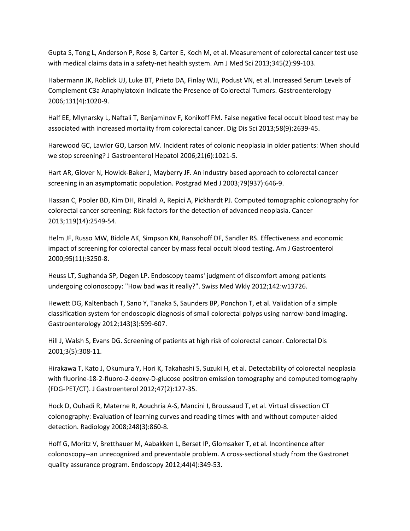Gupta S, Tong L, Anderson P, Rose B, Carter E, Koch M, et al. Measurement of colorectal cancer test use with medical claims data in a safety-net health system. Am J Med Sci 2013;345(2):99-103.

Habermann JK, Roblick UJ, Luke BT, Prieto DA, Finlay WJJ, Podust VN, et al. Increased Serum Levels of Complement C3a Anaphylatoxin Indicate the Presence of Colorectal Tumors. Gastroenterology 2006;131(4):1020-9.

Half EE, Mlynarsky L, Naftali T, Benjaminov F, Konikoff FM. False negative fecal occult blood test may be associated with increased mortality from colorectal cancer. Dig Dis Sci 2013;58(9):2639-45.

Harewood GC, Lawlor GO, Larson MV. Incident rates of colonic neoplasia in older patients: When should we stop screening? J Gastroenterol Hepatol 2006;21(6):1021-5.

Hart AR, Glover N, Howick-Baker J, Mayberry JF. An industry based approach to colorectal cancer screening in an asymptomatic population. Postgrad Med J 2003;79(937):646-9.

Hassan C, Pooler BD, Kim DH, Rinaldi A, Repici A, Pickhardt PJ. Computed tomographic colonography for colorectal cancer screening: Risk factors for the detection of advanced neoplasia. Cancer 2013;119(14):2549-54.

Helm JF, Russo MW, Biddle AK, Simpson KN, Ransohoff DF, Sandler RS. Effectiveness and economic impact of screening for colorectal cancer by mass fecal occult blood testing. Am J Gastroenterol 2000;95(11):3250-8.

Heuss LT, Sughanda SP, Degen LP. Endoscopy teams' judgment of discomfort among patients undergoing colonoscopy: "How bad was it really?". Swiss Med Wkly 2012;142:w13726.

Hewett DG, Kaltenbach T, Sano Y, Tanaka S, Saunders BP, Ponchon T, et al. Validation of a simple classification system for endoscopic diagnosis of small colorectal polyps using narrow-band imaging. Gastroenterology 2012;143(3):599-607.

Hill J, Walsh S, Evans DG. Screening of patients at high risk of colorectal cancer. Colorectal Dis 2001;3(5):308-11.

Hirakawa T, Kato J, Okumura Y, Hori K, Takahashi S, Suzuki H, et al. Detectability of colorectal neoplasia with fluorine-18-2-fluoro-2-deoxy-D-glucose positron emission tomography and computed tomography (FDG-PET/CT). J Gastroenterol 2012;47(2):127-35.

Hock D, Ouhadi R, Materne R, Aouchria A-S, Mancini I, Broussaud T, et al. Virtual dissection CT colonography: Evaluation of learning curves and reading times with and without computer-aided detection. Radiology 2008;248(3):860-8.

Hoff G, Moritz V, Bretthauer M, Aabakken L, Berset IP, Glomsaker T, et al. Incontinence after colonoscopy--an unrecognized and preventable problem. A cross-sectional study from the Gastronet quality assurance program. Endoscopy 2012;44(4):349-53.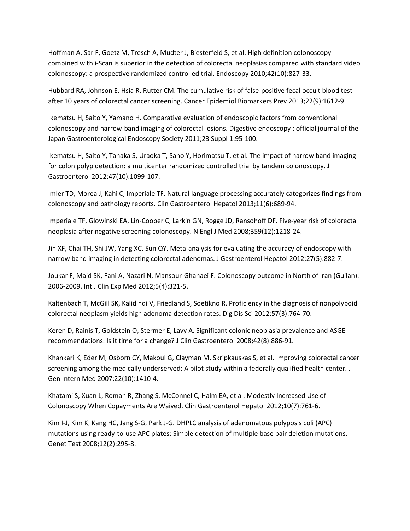Hoffman A, Sar F, Goetz M, Tresch A, Mudter J, Biesterfeld S, et al. High definition colonoscopy combined with i-Scan is superior in the detection of colorectal neoplasias compared with standard video colonoscopy: a prospective randomized controlled trial. Endoscopy 2010;42(10):827-33.

Hubbard RA, Johnson E, Hsia R, Rutter CM. The cumulative risk of false-positive fecal occult blood test after 10 years of colorectal cancer screening. Cancer Epidemiol Biomarkers Prev 2013;22(9):1612-9.

Ikematsu H, Saito Y, Yamano H. Comparative evaluation of endoscopic factors from conventional colonoscopy and narrow-band imaging of colorectal lesions. Digestive endoscopy : official journal of the Japan Gastroenterological Endoscopy Society 2011;23 Suppl 1:95-100.

Ikematsu H, Saito Y, Tanaka S, Uraoka T, Sano Y, Horimatsu T, et al. The impact of narrow band imaging for colon polyp detection: a multicenter randomized controlled trial by tandem colonoscopy. J Gastroenterol 2012;47(10):1099-107.

Imler TD, Morea J, Kahi C, Imperiale TF. Natural language processing accurately categorizes findings from colonoscopy and pathology reports. Clin Gastroenterol Hepatol 2013;11(6):689-94.

Imperiale TF, Glowinski EA, Lin-Cooper C, Larkin GN, Rogge JD, Ransohoff DF. Five-year risk of colorectal neoplasia after negative screening colonoscopy. N Engl J Med 2008;359(12):1218-24.

Jin XF, Chai TH, Shi JW, Yang XC, Sun QY. Meta-analysis for evaluating the accuracy of endoscopy with narrow band imaging in detecting colorectal adenomas. J Gastroenterol Hepatol 2012;27(5):882-7.

Joukar F, Majd SK, Fani A, Nazari N, Mansour-Ghanaei F. Colonoscopy outcome in North of Iran (Guilan): 2006-2009. Int J Clin Exp Med 2012;5(4):321-5.

Kaltenbach T, McGill SK, Kalidindi V, Friedland S, Soetikno R. Proficiency in the diagnosis of nonpolypoid colorectal neoplasm yields high adenoma detection rates. Dig Dis Sci 2012;57(3):764-70.

Keren D, Rainis T, Goldstein O, Stermer E, Lavy A. Significant colonic neoplasia prevalence and ASGE recommendations: Is it time for a change? J Clin Gastroenterol 2008;42(8):886-91.

Khankari K, Eder M, Osborn CY, Makoul G, Clayman M, Skripkauskas S, et al. Improving colorectal cancer screening among the medically underserved: A pilot study within a federally qualified health center. J Gen Intern Med 2007;22(10):1410-4.

Khatami S, Xuan L, Roman R, Zhang S, McConnel C, Halm EA, et al. Modestly Increased Use of Colonoscopy When Copayments Are Waived. Clin Gastroenterol Hepatol 2012;10(7):761-6.

Kim I-J, Kim K, Kang HC, Jang S-G, Park J-G. DHPLC analysis of adenomatous polyposis coli (APC) mutations using ready-to-use APC plates: Simple detection of multiple base pair deletion mutations. Genet Test 2008;12(2):295-8.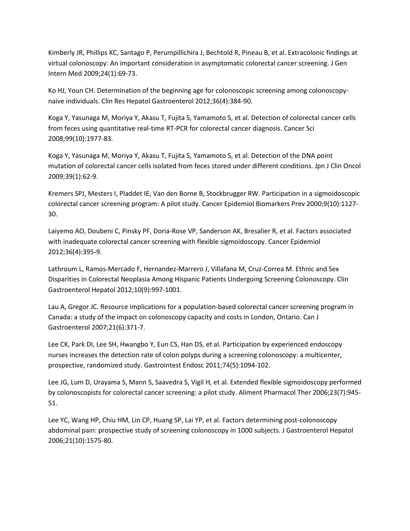Kimberly JR, Phillips KC, Santago P, Perumpillichira J, Bechtold R, Pineau B, et al. Extracolonic findings at virtual colonoscopy: An important consideration in asymptomatic colorectal cancer screening. J Gen Intern Med 2009;24(1):69-73.

Ko HJ, Youn CH. Determination of the beginning age for colonoscopic screening among colonoscopynaive individuals. Clin Res Hepatol Gastroenterol 2012;36(4):384-90.

Koga Y, Yasunaga M, Moriya Y, Akasu T, Fujita S, Yamamoto S, et al. Detection of colorectal cancer cells from feces using quantitative real-time RT-PCR for colorectal cancer diagnosis. Cancer Sci 2008;99(10):1977-83.

Koga Y, Yasunaga M, Moriya Y, Akasu T, Fujita S, Yamamoto S, et al. Detection of the DNA point mutation of colorectal cancer cells isolated from feces stored under different conditions. Jpn J Clin Oncol 2009;39(1):62-9.

Kremers SPJ, Mesters I, Pladdet IE, Van den Borne B, Stockbrugger RW. Participation in a sigmoidoscopic colorectal cancer screening program: A pilot study. Cancer Epidemiol Biomarkers Prev 2000;9(10):1127- 30.

Laiyemo AO, Doubeni C, Pinsky PF, Doria-Rose VP, Sanderson AK, Bresalier R, et al. Factors associated with inadequate colorectal cancer screening with flexible sigmoidoscopy. Cancer Epidemiol 2012;36(4):395-9.

Lathroum L, Ramos-Mercado F, Hernandez-Marrero J, Villafana M, Cruz-Correa M. Ethnic and Sex Disparities in Colorectal Neoplasia Among Hispanic Patients Undergoing Screening Colonoscopy. Clin Gastroenterol Hepatol 2012;10(9):997-1001.

Lau A, Gregor JC. Resource implications for a population-based colorectal cancer screening program in Canada: a study of the impact on colonoscopy capacity and costs in London, Ontario. Can J Gastroenterol 2007;21(6):371-7.

Lee CK, Park DI, Lee SH, Hwangbo Y, Eun CS, Han DS, et al. Participation by experienced endoscopy nurses increases the detection rate of colon polyps during a screening colonoscopy: a multicenter, prospective, randomized study. Gastrointest Endosc 2011;74(5):1094-102.

Lee JG, Lum D, Urayama S, Mann S, Saavedra S, Vigil H, et al. Extended flexible sigmoidoscopy performed by colonoscopists for colorectal cancer screening: a pilot study. Aliment Pharmacol Ther 2006;23(7):945- 51.

Lee YC, Wang HP, Chiu HM, Lin CP, Huang SP, Lai YP, et al. Factors determining post-colonoscopy abdominal pain: prospective study of screening colonoscopy in 1000 subjects. J Gastroenterol Hepatol 2006;21(10):1575-80.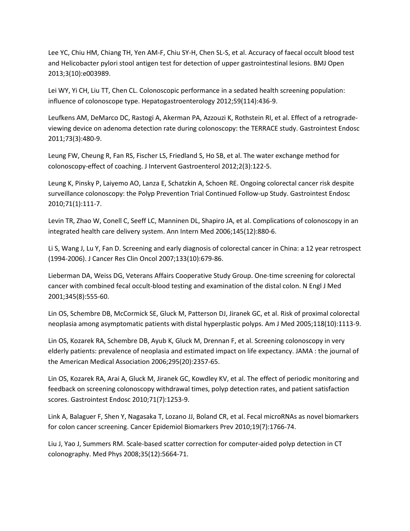Lee YC, Chiu HM, Chiang TH, Yen AM-F, Chiu SY-H, Chen SL-S, et al. Accuracy of faecal occult blood test and Helicobacter pylori stool antigen test for detection of upper gastrointestinal lesions. BMJ Open 2013;3(10):e003989.

Lei WY, Yi CH, Liu TT, Chen CL. Colonoscopic performance in a sedated health screening population: influence of colonoscope type. Hepatogastroenterology 2012;59(114):436-9.

Leufkens AM, DeMarco DC, Rastogi A, Akerman PA, Azzouzi K, Rothstein RI, et al. Effect of a retrogradeviewing device on adenoma detection rate during colonoscopy: the TERRACE study. Gastrointest Endosc 2011;73(3):480-9.

Leung FW, Cheung R, Fan RS, Fischer LS, Friedland S, Ho SB, et al. The water exchange method for colonoscopy-effect of coaching. J Intervent Gastroenterol 2012;2(3):122-5.

Leung K, Pinsky P, Laiyemo AO, Lanza E, Schatzkin A, Schoen RE. Ongoing colorectal cancer risk despite surveillance colonoscopy: the Polyp Prevention Trial Continued Follow-up Study. Gastrointest Endosc 2010;71(1):111-7.

Levin TR, Zhao W, Conell C, Seeff LC, Manninen DL, Shapiro JA, et al. Complications of colonoscopy in an integrated health care delivery system. Ann Intern Med 2006;145(12):880-6.

Li S, Wang J, Lu Y, Fan D. Screening and early diagnosis of colorectal cancer in China: a 12 year retrospect (1994-2006). J Cancer Res Clin Oncol 2007;133(10):679-86.

Lieberman DA, Weiss DG, Veterans Affairs Cooperative Study Group. One-time screening for colorectal cancer with combined fecal occult-blood testing and examination of the distal colon. N Engl J Med 2001;345(8):555-60.

Lin OS, Schembre DB, McCormick SE, Gluck M, Patterson DJ, Jiranek GC, et al. Risk of proximal colorectal neoplasia among asymptomatic patients with distal hyperplastic polyps. Am J Med 2005;118(10):1113-9.

Lin OS, Kozarek RA, Schembre DB, Ayub K, Gluck M, Drennan F, et al. Screening colonoscopy in very elderly patients: prevalence of neoplasia and estimated impact on life expectancy. JAMA : the journal of the American Medical Association 2006;295(20):2357-65.

Lin OS, Kozarek RA, Arai A, Gluck M, Jiranek GC, Kowdley KV, et al. The effect of periodic monitoring and feedback on screening colonoscopy withdrawal times, polyp detection rates, and patient satisfaction scores. Gastrointest Endosc 2010;71(7):1253-9.

Link A, Balaguer F, Shen Y, Nagasaka T, Lozano JJ, Boland CR, et al. Fecal microRNAs as novel biomarkers for colon cancer screening. Cancer Epidemiol Biomarkers Prev 2010;19(7):1766-74.

Liu J, Yao J, Summers RM. Scale-based scatter correction for computer-aided polyp detection in CT colonography. Med Phys 2008;35(12):5664-71.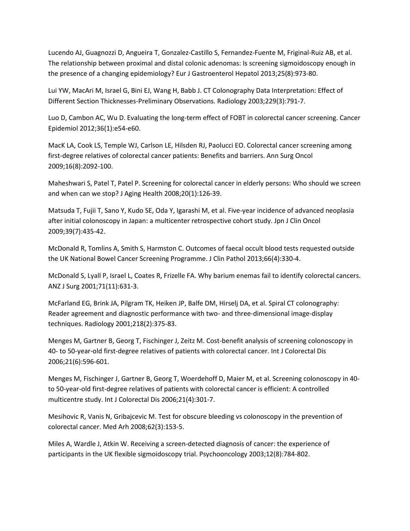Lucendo AJ, Guagnozzi D, Angueira T, Gonzalez-Castillo S, Fernandez-Fuente M, Friginal-Ruiz AB, et al. The relationship between proximal and distal colonic adenomas: Is screening sigmoidoscopy enough in the presence of a changing epidemiology? Eur J Gastroenterol Hepatol 2013;25(8):973-80.

Lui YW, MacAri M, Israel G, Bini EJ, Wang H, Babb J. CT Colonography Data Interpretation: Effect of Different Section Thicknesses-Preliminary Observations. Radiology 2003;229(3):791-7.

Luo D, Cambon AC, Wu D. Evaluating the long-term effect of FOBT in colorectal cancer screening. Cancer Epidemiol 2012;36(1):e54-e60.

MacK LA, Cook LS, Temple WJ, Carlson LE, Hilsden RJ, Paolucci EO. Colorectal cancer screening among first-degree relatives of colorectal cancer patients: Benefits and barriers. Ann Surg Oncol 2009;16(8):2092-100.

Maheshwari S, Patel T, Patel P. Screening for colorectal cancer in elderly persons: Who should we screen and when can we stop? J Aging Health 2008;20(1):126-39.

Matsuda T, Fujii T, Sano Y, Kudo SE, Oda Y, Igarashi M, et al. Five-year incidence of advanced neoplasia after initial colonoscopy in Japan: a multicenter retrospective cohort study. Jpn J Clin Oncol 2009;39(7):435-42.

McDonald R, Tomlins A, Smith S, Harmston C. Outcomes of faecal occult blood tests requested outside the UK National Bowel Cancer Screening Programme. J Clin Pathol 2013;66(4):330-4.

McDonald S, Lyall P, Israel L, Coates R, Frizelle FA. Why barium enemas fail to identify colorectal cancers. ANZ J Surg 2001;71(11):631-3.

McFarland EG, Brink JA, Pilgram TK, Heiken JP, Balfe DM, Hirselj DA, et al. Spiral CT colonography: Reader agreement and diagnostic performance with two- and three-dimensional image-display techniques. Radiology 2001;218(2):375-83.

Menges M, Gartner B, Georg T, Fischinger J, Zeitz M. Cost-benefit analysis of screening colonoscopy in 40- to 50-year-old first-degree relatives of patients with colorectal cancer. Int J Colorectal Dis 2006;21(6):596-601.

Menges M, Fischinger J, Gartner B, Georg T, Woerdehoff D, Maier M, et al. Screening colonoscopy in 40 to 50-year-old first-degree relatives of patients with colorectal cancer is efficient: A controlled multicentre study. Int J Colorectal Dis 2006;21(4):301-7.

Mesihovic R, Vanis N, Gribajcevic M. Test for obscure bleeding vs colonoscopy in the prevention of colorectal cancer. Med Arh 2008;62(3):153-5.

Miles A, Wardle J, Atkin W. Receiving a screen-detected diagnosis of cancer: the experience of participants in the UK flexible sigmoidoscopy trial. Psychooncology 2003;12(8):784-802.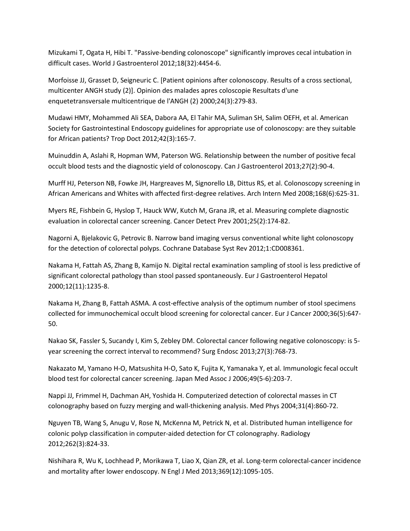Mizukami T, Ogata H, Hibi T. "Passive-bending colonoscope" significantly improves cecal intubation in difficult cases. World J Gastroenterol 2012;18(32):4454-6.

Morfoisse JJ, Grasset D, Seigneuric C. [Patient opinions after colonoscopy. Results of a cross sectional, multicenter ANGH study (2)]. Opinion des malades apres coloscopie Resultats d'une enquetetransversale multicentrique de l'ANGH (2) 2000;24(3):279-83.

Mudawi HMY, Mohammed Ali SEA, Dabora AA, El Tahir MA, Suliman SH, Salim OEFH, et al. American Society for Gastrointestinal Endoscopy guidelines for appropriate use of colonoscopy: are they suitable for African patients? Trop Doct 2012;42(3):165-7.

Muinuddin A, Aslahi R, Hopman WM, Paterson WG. Relationship between the number of positive fecal occult blood tests and the diagnostic yield of colonoscopy. Can J Gastroenterol 2013;27(2):90-4.

Murff HJ, Peterson NB, Fowke JH, Hargreaves M, Signorello LB, Dittus RS, et al. Colonoscopy screening in African Americans and Whites with affected first-degree relatives. Arch Intern Med 2008;168(6):625-31.

Myers RE, Fishbein G, Hyslop T, Hauck WW, Kutch M, Grana JR, et al. Measuring complete diagnostic evaluation in colorectal cancer screening. Cancer Detect Prev 2001;25(2):174-82.

Nagorni A, Bjelakovic G, Petrovic B. Narrow band imaging versus conventional white light colonoscopy for the detection of colorectal polyps. Cochrane Database Syst Rev 2012;1:CD008361.

Nakama H, Fattah AS, Zhang B, Kamijo N. Digital rectal examination sampling of stool is less predictive of significant colorectal pathology than stool passed spontaneously. Eur J Gastroenterol Hepatol 2000;12(11):1235-8.

Nakama H, Zhang B, Fattah ASMA. A cost-effective analysis of the optimum number of stool specimens collected for immunochemical occult blood screening for colorectal cancer. Eur J Cancer 2000;36(5):647- 50.

Nakao SK, Fassler S, Sucandy I, Kim S, Zebley DM. Colorectal cancer following negative colonoscopy: is 5 year screening the correct interval to recommend? Surg Endosc 2013;27(3):768-73.

Nakazato M, Yamano H-O, Matsushita H-O, Sato K, Fujita K, Yamanaka Y, et al. Immunologic fecal occult blood test for colorectal cancer screening. Japan Med Assoc J 2006;49(5-6):203-7.

Nappi JJ, Frimmel H, Dachman AH, Yoshida H. Computerized detection of colorectal masses in CT colonography based on fuzzy merging and wall-thickening analysis. Med Phys 2004;31(4):860-72.

Nguyen TB, Wang S, Anugu V, Rose N, McKenna M, Petrick N, et al. Distributed human intelligence for colonic polyp classification in computer-aided detection for CT colonography. Radiology 2012;262(3):824-33.

Nishihara R, Wu K, Lochhead P, Morikawa T, Liao X, Qian ZR, et al. Long-term colorectal-cancer incidence and mortality after lower endoscopy. N Engl J Med 2013;369(12):1095-105.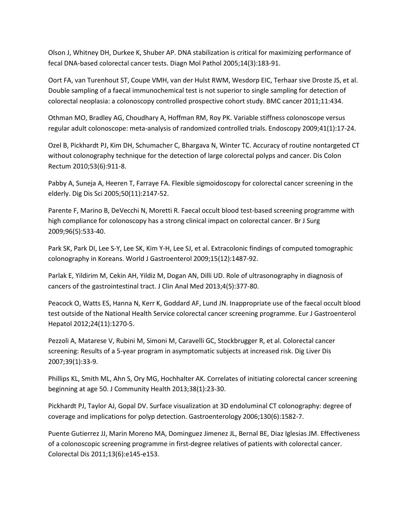Olson J, Whitney DH, Durkee K, Shuber AP. DNA stabilization is critical for maximizing performance of fecal DNA-based colorectal cancer tests. Diagn Mol Pathol 2005;14(3):183-91.

Oort FA, van Turenhout ST, Coupe VMH, van der Hulst RWM, Wesdorp EIC, Terhaar sive Droste JS, et al. Double sampling of a faecal immunochemical test is not superior to single sampling for detection of colorectal neoplasia: a colonoscopy controlled prospective cohort study. BMC cancer 2011;11:434.

Othman MO, Bradley AG, Choudhary A, Hoffman RM, Roy PK. Variable stiffness colonoscope versus regular adult colonoscope: meta-analysis of randomized controlled trials. Endoscopy 2009;41(1):17-24.

Ozel B, Pickhardt PJ, Kim DH, Schumacher C, Bhargava N, Winter TC. Accuracy of routine nontargeted CT without colonography technique for the detection of large colorectal polyps and cancer. Dis Colon Rectum 2010;53(6):911-8.

Pabby A, Suneja A, Heeren T, Farraye FA. Flexible sigmoidoscopy for colorectal cancer screening in the elderly. Dig Dis Sci 2005;50(11):2147-52.

Parente F, Marino B, DeVecchi N, Moretti R. Faecal occult blood test-based screening programme with high compliance for colonoscopy has a strong clinical impact on colorectal cancer. Br J Surg 2009;96(5):533-40.

Park SK, Park DI, Lee S-Y, Lee SK, Kim Y-H, Lee SJ, et al. Extracolonic findings of computed tomographic colonography in Koreans. World J Gastroenterol 2009;15(12):1487-92.

Parlak E, Yildirim M, Cekin AH, Yildiz M, Dogan AN, Dilli UD. Role of ultrasonography in diagnosis of cancers of the gastrointestinal tract. J Clin Anal Med 2013;4(5):377-80.

Peacock O, Watts ES, Hanna N, Kerr K, Goddard AF, Lund JN. Inappropriate use of the faecal occult blood test outside of the National Health Service colorectal cancer screening programme. Eur J Gastroenterol Hepatol 2012;24(11):1270-5.

Pezzoli A, Matarese V, Rubini M, Simoni M, Caravelli GC, Stockbrugger R, et al. Colorectal cancer screening: Results of a 5-year program in asymptomatic subjects at increased risk. Dig Liver Dis 2007;39(1):33-9.

Phillips KL, Smith ML, Ahn S, Ory MG, Hochhalter AK. Correlates of initiating colorectal cancer screening beginning at age 50. J Community Health 2013;38(1):23-30.

Pickhardt PJ, Taylor AJ, Gopal DV. Surface visualization at 3D endoluminal CT colonography: degree of coverage and implications for polyp detection. Gastroenterology 2006;130(6):1582-7.

Puente Gutierrez JJ, Marin Moreno MA, Dominguez Jimenez JL, Bernal BE, Diaz Iglesias JM. Effectiveness of a colonoscopic screening programme in first-degree relatives of patients with colorectal cancer. Colorectal Dis 2011;13(6):e145-e153.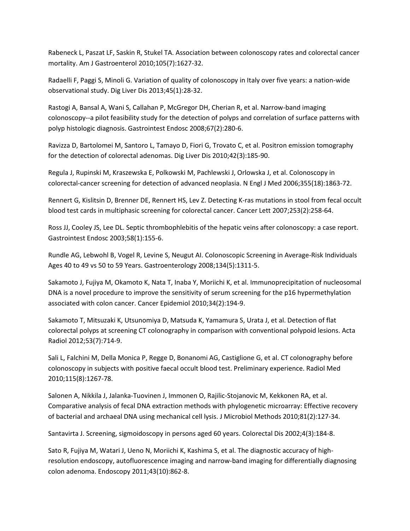Rabeneck L, Paszat LF, Saskin R, Stukel TA. Association between colonoscopy rates and colorectal cancer mortality. Am J Gastroenterol 2010;105(7):1627-32.

Radaelli F, Paggi S, Minoli G. Variation of quality of colonoscopy in Italy over five years: a nation-wide observational study. Dig Liver Dis 2013;45(1):28-32.

Rastogi A, Bansal A, Wani S, Callahan P, McGregor DH, Cherian R, et al. Narrow-band imaging colonoscopy--a pilot feasibility study for the detection of polyps and correlation of surface patterns with polyp histologic diagnosis. Gastrointest Endosc 2008;67(2):280-6.

Ravizza D, Bartolomei M, Santoro L, Tamayo D, Fiori G, Trovato C, et al. Positron emission tomography for the detection of colorectal adenomas. Dig Liver Dis 2010;42(3):185-90.

Regula J, Rupinski M, Kraszewska E, Polkowski M, Pachlewski J, Orlowska J, et al. Colonoscopy in colorectal-cancer screening for detection of advanced neoplasia. N Engl J Med 2006;355(18):1863-72.

Rennert G, Kislitsin D, Brenner DE, Rennert HS, Lev Z. Detecting K-ras mutations in stool from fecal occult blood test cards in multiphasic screening for colorectal cancer. Cancer Lett 2007;253(2):258-64.

Ross JJ, Cooley JS, Lee DL. Septic thrombophlebitis of the hepatic veins after colonoscopy: a case report. Gastrointest Endosc 2003;58(1):155-6.

Rundle AG, Lebwohl B, Vogel R, Levine S, Neugut AI. Colonoscopic Screening in Average-Risk Individuals Ages 40 to 49 vs 50 to 59 Years. Gastroenterology 2008;134(5):1311-5.

Sakamoto J, Fujiya M, Okamoto K, Nata T, Inaba Y, Moriichi K, et al. Immunoprecipitation of nucleosomal DNA is a novel procedure to improve the sensitivity of serum screening for the p16 hypermethylation associated with colon cancer. Cancer Epidemiol 2010;34(2):194-9.

Sakamoto T, Mitsuzaki K, Utsunomiya D, Matsuda K, Yamamura S, Urata J, et al. Detection of flat colorectal polyps at screening CT colonography in comparison with conventional polypoid lesions. Acta Radiol 2012;53(7):714-9.

Sali L, Falchini M, Della Monica P, Regge D, Bonanomi AG, Castiglione G, et al. CT colonography before colonoscopy in subjects with positive faecal occult blood test. Preliminary experience. Radiol Med 2010;115(8):1267-78.

Salonen A, Nikkila J, Jalanka-Tuovinen J, Immonen O, Rajilic-Stojanovic M, Kekkonen RA, et al. Comparative analysis of fecal DNA extraction methods with phylogenetic microarray: Effective recovery of bacterial and archaeal DNA using mechanical cell lysis. J Microbiol Methods 2010;81(2):127-34.

Santavirta J. Screening, sigmoidoscopy in persons aged 60 years. Colorectal Dis 2002;4(3):184-8.

Sato R, Fujiya M, Watari J, Ueno N, Moriichi K, Kashima S, et al. The diagnostic accuracy of highresolution endoscopy, autofluorescence imaging and narrow-band imaging for differentially diagnosing colon adenoma. Endoscopy 2011;43(10):862-8.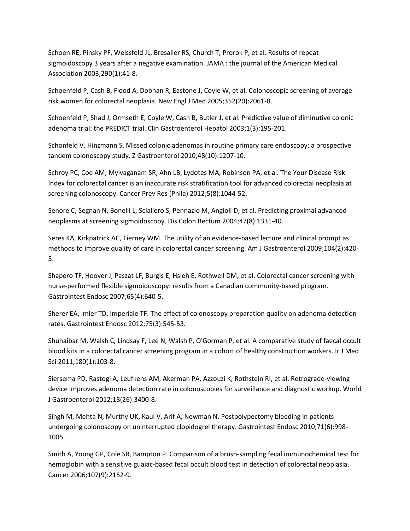Schoen RE, Pinsky PF, Weissfeld JL, Bresalier RS, Church T, Prorok P, et al. Results of repeat sigmoidoscopy 3 years after a negative examination. JAMA : the journal of the American Medical Association 2003;290(1):41-8.

Schoenfeld P, Cash B, Flood A, Dobhan R, Eastone J, Coyle W, et al. Colonoscopic screening of averagerisk women for colorectal neoplasia. New Engl J Med 2005;352(20):2061-8.

Schoenfeld P, Shad J, Ormseth E, Coyle W, Cash B, Butler J, et al. Predictive value of diminutive colonic adenoma trial: the PREDICT trial. Clin Gastroenterol Hepatol 2003;1(3):195-201.

Schonfeld V, Hinzmann S. Missed colonic adenomas in routine primary care endoscopy: a prospective tandem colonoscopy study. Z Gastroenterol 2010;48(10):1207-10.

Schroy PC, Coe AM, Mylvaganam SR, Ahn LB, Lydotes MA, Robinson PA, et al. The Your Disease Risk Index for colorectal cancer is an inaccurate risk stratification tool for advanced colorectal neoplasia at screening colonoscopy. Cancer Prev Res (Phila) 2012;5(8):1044-52.

Senore C, Segnan N, Bonelli L, Sciallero S, Pennazio M, Angioli D, et al. Predicting proximal advanced neoplasms at screening sigmoidoscopy. Dis Colon Rectum 2004;47(8):1331-40.

Seres KA, Kirkpatrick AC, Tierney WM. The utility of an evidence-based lecture and clinical prompt as methods to improve quality of care in colorectal cancer screening. Am J Gastroenterol 2009;104(2):420- 5.

Shapero TF, Hoover J, Paszat LF, Burgis E, Hsieh E, Rothwell DM, et al. Colorectal cancer screening with nurse-performed flexible sigmoidoscopy: results from a Canadian community-based program. Gastrointest Endosc 2007;65(4):640-5.

Sherer EA, Imler TD, Imperiale TF. The effect of colonoscopy preparation quality on adenoma detection rates. Gastrointest Endosc 2012;75(3):545-53.

Shuhaibar M, Walsh C, Lindsay F, Lee N, Walsh P, O'Gorman P, et al. A comparative study of faecal occult blood kits in a colorectal cancer screening program in a cohort of healthy construction workers. Ir J Med Sci 2011;180(1):103-8.

Siersema PD, Rastogi A, Leufkens AM, Akerman PA, Azzouzi K, Rothstein RI, et al. Retrograde-viewing device improves adenoma detection rate in colonoscopies for surveillance and diagnostic workup. World J Gastroenterol 2012;18(26):3400-8.

Singh M, Mehta N, Murthy UK, Kaul V, Arif A, Newman N. Postpolypectomy bleeding in patients undergoing colonoscopy on uninterrupted clopidogrel therapy. Gastrointest Endosc 2010;71(6):998- 1005.

Smith A, Young GP, Cole SR, Bampton P. Comparison of a brush-sampling fecal immunochemical test for hemoglobin with a sensitive guaiac-based fecal occult blood test in detection of colorectal neoplasia. Cancer 2006;107(9):2152-9.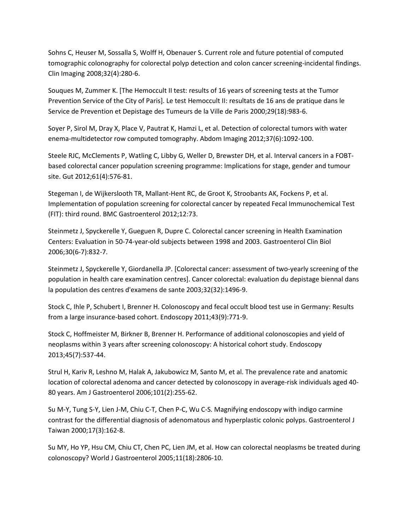Sohns C, Heuser M, Sossalla S, Wolff H, Obenauer S. Current role and future potential of computed tomographic colonography for colorectal polyp detection and colon cancer screening-incidental findings. Clin Imaging 2008;32(4):280-6.

Souques M, Zummer K. [The Hemoccult II test: results of 16 years of screening tests at the Tumor Prevention Service of the City of Paris]. Le test Hemoccult II: resultats de 16 ans de pratique dans le Service de Prevention et Depistage des Tumeurs de la Ville de Paris 2000;29(18):983-6.

Soyer P, Sirol M, Dray X, Place V, Pautrat K, Hamzi L, et al. Detection of colorectal tumors with water enema-multidetector row computed tomography. Abdom Imaging 2012;37(6):1092-100.

Steele RJC, McClements P, Watling C, Libby G, Weller D, Brewster DH, et al. Interval cancers in a FOBTbased colorectal cancer population screening programme: Implications for stage, gender and tumour site. Gut 2012;61(4):576-81.

Stegeman I, de Wijkerslooth TR, Mallant-Hent RC, de Groot K, Stroobants AK, Fockens P, et al. Implementation of population screening for colorectal cancer by repeated Fecal Immunochemical Test (FIT): third round. BMC Gastroenterol 2012;12:73.

Steinmetz J, Spyckerelle Y, Gueguen R, Dupre C. Colorectal cancer screening in Health Examination Centers: Evaluation in 50-74-year-old subjects between 1998 and 2003. Gastroenterol Clin Biol 2006;30(6-7):832-7.

Steinmetz J, Spyckerelle Y, Giordanella JP. [Colorectal cancer: assessment of two-yearly screening of the population in health care examination centres]. Cancer colorectal: evaluation du depistage biennal dans la population des centres d'examens de sante 2003;32(32):1496-9.

Stock C, Ihle P, Schubert I, Brenner H. Colonoscopy and fecal occult blood test use in Germany: Results from a large insurance-based cohort. Endoscopy 2011;43(9):771-9.

Stock C, Hoffmeister M, Birkner B, Brenner H. Performance of additional colonoscopies and yield of neoplasms within 3 years after screening colonoscopy: A historical cohort study. Endoscopy 2013;45(7):537-44.

Strul H, Kariv R, Leshno M, Halak A, Jakubowicz M, Santo M, et al. The prevalence rate and anatomic location of colorectal adenoma and cancer detected by colonoscopy in average-risk individuals aged 40- 80 years. Am J Gastroenterol 2006;101(2):255-62.

Su M-Y, Tung S-Y, Lien J-M, Chiu C-T, Chen P-C, Wu C-S. Magnifying endoscopy with indigo carmine contrast for the differential diagnosis of adenomatous and hyperplastic colonic polyps. Gastroenterol J Taiwan 2000;17(3):162-8.

Su MY, Ho YP, Hsu CM, Chiu CT, Chen PC, Lien JM, et al. How can colorectal neoplasms be treated during colonoscopy? World J Gastroenterol 2005;11(18):2806-10.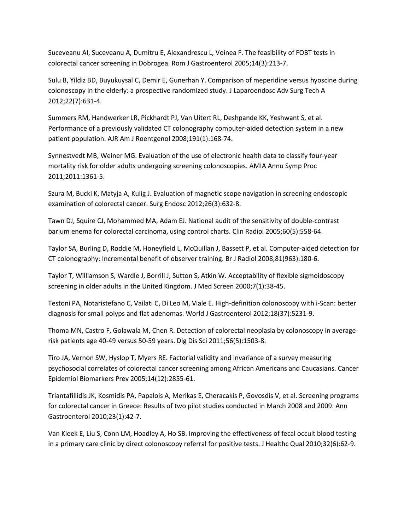Suceveanu AI, Suceveanu A, Dumitru E, Alexandrescu L, Voinea F. The feasibility of FOBT tests in colorectal cancer screening in Dobrogea. Rom J Gastroenterol 2005;14(3):213-7.

Sulu B, Yildiz BD, Buyukuysal C, Demir E, Gunerhan Y. Comparison of meperidine versus hyoscine during colonoscopy in the elderly: a prospective randomized study. J Laparoendosc Adv Surg Tech A 2012;22(7):631-4.

Summers RM, Handwerker LR, Pickhardt PJ, Van Uitert RL, Deshpande KK, Yeshwant S, et al. Performance of a previously validated CT colonography computer-aided detection system in a new patient population. AJR Am J Roentgenol 2008;191(1):168-74.

Synnestvedt MB, Weiner MG. Evaluation of the use of electronic health data to classify four-year mortality risk for older adults undergoing screening colonoscopies. AMIA Annu Symp Proc 2011;2011:1361-5.

Szura M, Bucki K, Matyja A, Kulig J. Evaluation of magnetic scope navigation in screening endoscopic examination of colorectal cancer. Surg Endosc 2012;26(3):632-8.

Tawn DJ, Squire CJ, Mohammed MA, Adam EJ. National audit of the sensitivity of double-contrast barium enema for colorectal carcinoma, using control charts. Clin Radiol 2005;60(5):558-64.

Taylor SA, Burling D, Roddie M, Honeyfield L, McQuillan J, Bassett P, et al. Computer-aided detection for CT colonography: Incremental benefit of observer training. Br J Radiol 2008;81(963):180-6.

Taylor T, Williamson S, Wardle J, Borrill J, Sutton S, Atkin W. Acceptability of flexible sigmoidoscopy screening in older adults in the United Kingdom. J Med Screen 2000;7(1):38-45.

Testoni PA, Notaristefano C, Vailati C, Di Leo M, Viale E. High-definition colonoscopy with i-Scan: better diagnosis for small polyps and flat adenomas. World J Gastroenterol 2012;18(37):5231-9.

Thoma MN, Castro F, Golawala M, Chen R. Detection of colorectal neoplasia by colonoscopy in averagerisk patients age 40-49 versus 50-59 years. Dig Dis Sci 2011;56(5):1503-8.

Tiro JA, Vernon SW, Hyslop T, Myers RE. Factorial validity and invariance of a survey measuring psychosocial correlates of colorectal cancer screening among African Americans and Caucasians. Cancer Epidemiol Biomarkers Prev 2005;14(12):2855-61.

Triantafillidis JK, Kosmidis PA, Papalois A, Merikas E, Cheracakis P, Govosdis V, et al. Screening programs for colorectal cancer in Greece: Results of two pilot studies conducted in March 2008 and 2009. Ann Gastroenterol 2010;23(1):42-7.

Van Kleek E, Liu S, Conn LM, Hoadley A, Ho SB. Improving the effectiveness of fecal occult blood testing in a primary care clinic by direct colonoscopy referral for positive tests. J Healthc Qual 2010;32(6):62-9.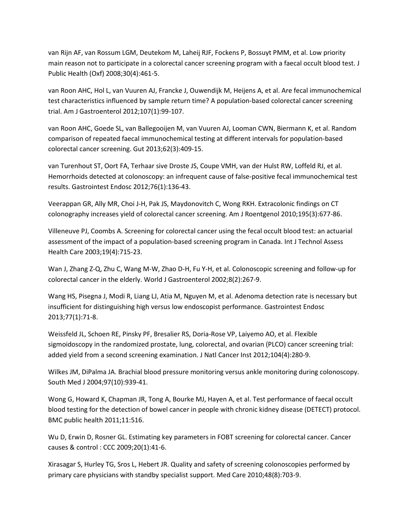van Rijn AF, van Rossum LGM, Deutekom M, Laheij RJF, Fockens P, Bossuyt PMM, et al. Low priority main reason not to participate in a colorectal cancer screening program with a faecal occult blood test. J Public Health (Oxf) 2008;30(4):461-5.

van Roon AHC, Hol L, van Vuuren AJ, Francke J, Ouwendijk M, Heijens A, et al. Are fecal immunochemical test characteristics influenced by sample return time? A population-based colorectal cancer screening trial. Am J Gastroenterol 2012;107(1):99-107.

van Roon AHC, Goede SL, van Ballegooijen M, van Vuuren AJ, Looman CWN, Biermann K, et al. Random comparison of repeated faecal immunochemical testing at different intervals for population-based colorectal cancer screening. Gut 2013;62(3):409-15.

van Turenhout ST, Oort FA, Terhaar sive Droste JS, Coupe VMH, van der Hulst RW, Loffeld RJ, et al. Hemorrhoids detected at colonoscopy: an infrequent cause of false-positive fecal immunochemical test results. Gastrointest Endosc 2012;76(1):136-43.

Veerappan GR, Ally MR, Choi J-H, Pak JS, Maydonovitch C, Wong RKH. Extracolonic findings on CT colonography increases yield of colorectal cancer screening. Am J Roentgenol 2010;195(3):677-86.

Villeneuve PJ, Coombs A. Screening for colorectal cancer using the fecal occult blood test: an actuarial assessment of the impact of a population-based screening program in Canada. Int J Technol Assess Health Care 2003;19(4):715-23.

Wan J, Zhang Z-Q, Zhu C, Wang M-W, Zhao D-H, Fu Y-H, et al. Colonoscopic screening and follow-up for colorectal cancer in the elderly. World J Gastroenterol 2002;8(2):267-9.

Wang HS, Pisegna J, Modi R, Liang LJ, Atia M, Nguyen M, et al. Adenoma detection rate is necessary but insufficient for distinguishing high versus low endoscopist performance. Gastrointest Endosc 2013;77(1):71-8.

Weissfeld JL, Schoen RE, Pinsky PF, Bresalier RS, Doria-Rose VP, Laiyemo AO, et al. Flexible sigmoidoscopy in the randomized prostate, lung, colorectal, and ovarian (PLCO) cancer screening trial: added yield from a second screening examination. J Natl Cancer Inst 2012;104(4):280-9.

Wilkes JM, DiPalma JA. Brachial blood pressure monitoring versus ankle monitoring during colonoscopy. South Med J 2004;97(10):939-41.

Wong G, Howard K, Chapman JR, Tong A, Bourke MJ, Hayen A, et al. Test performance of faecal occult blood testing for the detection of bowel cancer in people with chronic kidney disease (DETECT) protocol. BMC public health 2011;11:516.

Wu D, Erwin D, Rosner GL. Estimating key parameters in FOBT screening for colorectal cancer. Cancer causes & control : CCC 2009;20(1):41-6.

Xirasagar S, Hurley TG, Sros L, Hebert JR. Quality and safety of screening colonoscopies performed by primary care physicians with standby specialist support. Med Care 2010;48(8):703-9.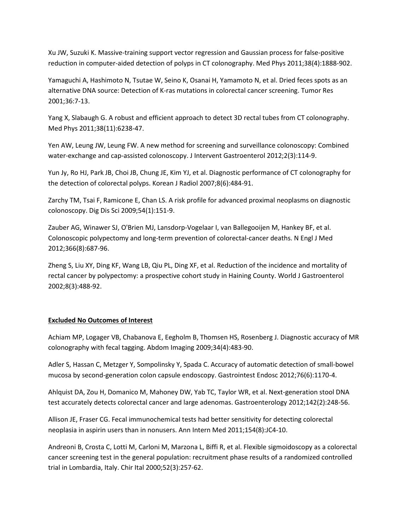Xu JW, Suzuki K. Massive-training support vector regression and Gaussian process for false-positive reduction in computer-aided detection of polyps in CT colonography. Med Phys 2011;38(4):1888-902.

Yamaguchi A, Hashimoto N, Tsutae W, Seino K, Osanai H, Yamamoto N, et al. Dried feces spots as an alternative DNA source: Detection of K-ras mutations in colorectal cancer screening. Tumor Res 2001;36:7-13.

Yang X, Slabaugh G. A robust and efficient approach to detect 3D rectal tubes from CT colonography. Med Phys 2011;38(11):6238-47.

Yen AW, Leung JW, Leung FW. A new method for screening and surveillance colonoscopy: Combined water-exchange and cap-assisted colonoscopy. J Intervent Gastroenterol 2012;2(3):114-9.

Yun Jy, Ro HJ, Park JB, Choi JB, Chung JE, Kim YJ, et al. Diagnostic performance of CT colonography for the detection of colorectal polyps. Korean J Radiol 2007;8(6):484-91.

Zarchy TM, Tsai F, Ramicone E, Chan LS. A risk profile for advanced proximal neoplasms on diagnostic colonoscopy. Dig Dis Sci 2009;54(1):151-9.

Zauber AG, Winawer SJ, O'Brien MJ, Lansdorp-Vogelaar I, van Ballegooijen M, Hankey BF, et al. Colonoscopic polypectomy and long-term prevention of colorectal-cancer deaths. N Engl J Med 2012;366(8):687-96.

Zheng S, Liu XY, Ding KF, Wang LB, Qiu PL, Ding XF, et al. Reduction of the incidence and mortality of rectal cancer by polypectomy: a prospective cohort study in Haining County. World J Gastroenterol 2002;8(3):488-92.

### **Excluded No Outcomes of Interest**

Achiam MP, Logager VB, Chabanova E, Eegholm B, Thomsen HS, Rosenberg J. Diagnostic accuracy of MR colonography with fecal tagging. Abdom Imaging 2009;34(4):483-90.

Adler S, Hassan C, Metzger Y, Sompolinsky Y, Spada C. Accuracy of automatic detection of small-bowel mucosa by second-generation colon capsule endoscopy. Gastrointest Endosc 2012;76(6):1170-4.

Ahlquist DA, Zou H, Domanico M, Mahoney DW, Yab TC, Taylor WR, et al. Next-generation stool DNA test accurately detects colorectal cancer and large adenomas. Gastroenterology 2012;142(2):248-56.

Allison JE, Fraser CG. Fecal immunochemical tests had better sensitivity for detecting colorectal neoplasia in aspirin users than in nonusers. Ann Intern Med 2011;154(8):JC4-10.

Andreoni B, Crosta C, Lotti M, Carloni M, Marzona L, Biffi R, et al. Flexible sigmoidoscopy as a colorectal cancer screening test in the general population: recruitment phase results of a randomized controlled trial in Lombardia, Italy. Chir Ital 2000;52(3):257-62.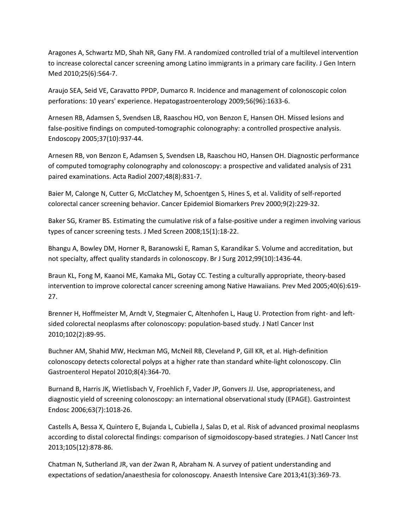Aragones A, Schwartz MD, Shah NR, Gany FM. A randomized controlled trial of a multilevel intervention to increase colorectal cancer screening among Latino immigrants in a primary care facility. J Gen Intern Med 2010;25(6):564-7.

Araujo SEA, Seid VE, Caravatto PPDP, Dumarco R. Incidence and management of colonoscopic colon perforations: 10 years' experience. Hepatogastroenterology 2009;56(96):1633-6.

Arnesen RB, Adamsen S, Svendsen LB, Raaschou HO, von Benzon E, Hansen OH. Missed lesions and false-positive findings on computed-tomographic colonography: a controlled prospective analysis. Endoscopy 2005;37(10):937-44.

Arnesen RB, von Benzon E, Adamsen S, Svendsen LB, Raaschou HO, Hansen OH. Diagnostic performance of computed tomography colonography and colonoscopy: a prospective and validated analysis of 231 paired examinations. Acta Radiol 2007;48(8):831-7.

Baier M, Calonge N, Cutter G, McClatchey M, Schoentgen S, Hines S, et al. Validity of self-reported colorectal cancer screening behavior. Cancer Epidemiol Biomarkers Prev 2000;9(2):229-32.

Baker SG, Kramer BS. Estimating the cumulative risk of a false-positive under a regimen involving various types of cancer screening tests. J Med Screen 2008;15(1):18-22.

Bhangu A, Bowley DM, Horner R, Baranowski E, Raman S, Karandikar S. Volume and accreditation, but not specialty, affect quality standards in colonoscopy. Br J Surg 2012;99(10):1436-44.

Braun KL, Fong M, Kaanoi ME, Kamaka ML, Gotay CC. Testing a culturally appropriate, theory-based intervention to improve colorectal cancer screening among Native Hawaiians. Prev Med 2005;40(6):619- 27.

Brenner H, Hoffmeister M, Arndt V, Stegmaier C, Altenhofen L, Haug U. Protection from right- and leftsided colorectal neoplasms after colonoscopy: population-based study. J Natl Cancer Inst 2010;102(2):89-95.

Buchner AM, Shahid MW, Heckman MG, McNeil RB, Cleveland P, Gill KR, et al. High-definition colonoscopy detects colorectal polyps at a higher rate than standard white-light colonoscopy. Clin Gastroenterol Hepatol 2010;8(4):364-70.

Burnand B, Harris JK, Wietlisbach V, Froehlich F, Vader JP, Gonvers JJ. Use, appropriateness, and diagnostic yield of screening colonoscopy: an international observational study (EPAGE). Gastrointest Endosc 2006;63(7):1018-26.

Castells A, Bessa X, Quintero E, Bujanda L, Cubiella J, Salas D, et al. Risk of advanced proximal neoplasms according to distal colorectal findings: comparison of sigmoidoscopy-based strategies. J Natl Cancer Inst 2013;105(12):878-86.

Chatman N, Sutherland JR, van der Zwan R, Abraham N. A survey of patient understanding and expectations of sedation/anaesthesia for colonoscopy. Anaesth Intensive Care 2013;41(3):369-73.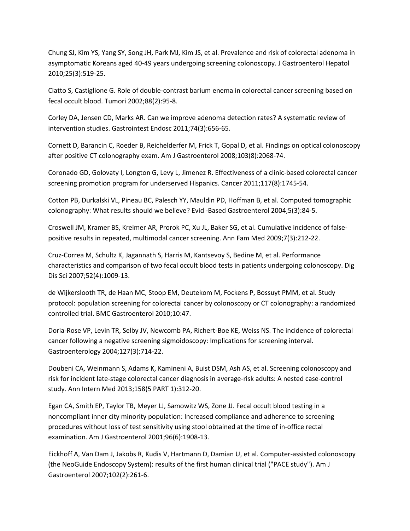Chung SJ, Kim YS, Yang SY, Song JH, Park MJ, Kim JS, et al. Prevalence and risk of colorectal adenoma in asymptomatic Koreans aged 40-49 years undergoing screening colonoscopy. J Gastroenterol Hepatol 2010;25(3):519-25.

Ciatto S, Castiglione G. Role of double-contrast barium enema in colorectal cancer screening based on fecal occult blood. Tumori 2002;88(2):95-8.

Corley DA, Jensen CD, Marks AR. Can we improve adenoma detection rates? A systematic review of intervention studies. Gastrointest Endosc 2011;74(3):656-65.

Cornett D, Barancin C, Roeder B, Reichelderfer M, Frick T, Gopal D, et al. Findings on optical colonoscopy after positive CT colonography exam. Am J Gastroenterol 2008;103(8):2068-74.

Coronado GD, Golovaty I, Longton G, Levy L, Jimenez R. Effectiveness of a clinic-based colorectal cancer screening promotion program for underserved Hispanics. Cancer 2011;117(8):1745-54.

Cotton PB, Durkalski VL, Pineau BC, Palesch YY, Mauldin PD, Hoffman B, et al. Computed tomographic colonography: What results should we believe? Evid -Based Gastroenterol 2004;5(3):84-5.

Croswell JM, Kramer BS, Kreimer AR, Prorok PC, Xu JL, Baker SG, et al. Cumulative incidence of falsepositive results in repeated, multimodal cancer screening. Ann Fam Med 2009;7(3):212-22.

Cruz-Correa M, Schultz K, Jagannath S, Harris M, Kantsevoy S, Bedine M, et al. Performance characteristics and comparison of two fecal occult blood tests in patients undergoing colonoscopy. Dig Dis Sci 2007;52(4):1009-13.

de Wijkerslooth TR, de Haan MC, Stoop EM, Deutekom M, Fockens P, Bossuyt PMM, et al. Study protocol: population screening for colorectal cancer by colonoscopy or CT colonography: a randomized controlled trial. BMC Gastroenterol 2010;10:47.

Doria-Rose VP, Levin TR, Selby JV, Newcomb PA, Richert-Boe KE, Weiss NS. The incidence of colorectal cancer following a negative screening sigmoidoscopy: Implications for screening interval. Gastroenterology 2004;127(3):714-22.

Doubeni CA, Weinmann S, Adams K, Kamineni A, Buist DSM, Ash AS, et al. Screening colonoscopy and risk for incident late-stage colorectal cancer diagnosis in average-risk adults: A nested case-control study. Ann Intern Med 2013;158(5 PART 1):312-20.

Egan CA, Smith EP, Taylor TB, Meyer LJ, Samowitz WS, Zone JJ. Fecal occult blood testing in a noncompliant inner city minority population: Increased compliance and adherence to screening procedures without loss of test sensitivity using stool obtained at the time of in-office rectal examination. Am J Gastroenterol 2001;96(6):1908-13.

Eickhoff A, Van Dam J, Jakobs R, Kudis V, Hartmann D, Damian U, et al. Computer-assisted colonoscopy (the NeoGuide Endoscopy System): results of the first human clinical trial ("PACE study"). Am J Gastroenterol 2007;102(2):261-6.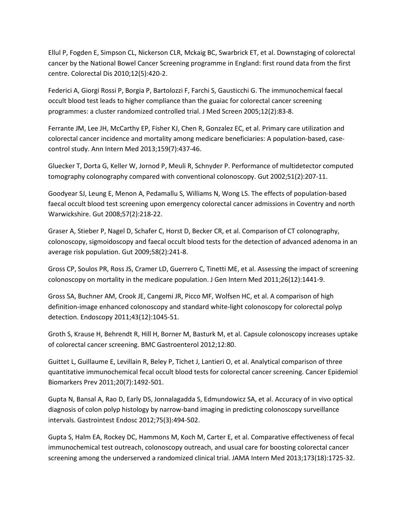Ellul P, Fogden E, Simpson CL, Nickerson CLR, Mckaig BC, Swarbrick ET, et al. Downstaging of colorectal cancer by the National Bowel Cancer Screening programme in England: first round data from the first centre. Colorectal Dis 2010;12(5):420-2.

Federici A, Giorgi Rossi P, Borgia P, Bartolozzi F, Farchi S, Gausticchi G. The immunochemical faecal occult blood test leads to higher compliance than the guaiac for colorectal cancer screening programmes: a cluster randomized controlled trial. J Med Screen 2005;12(2):83-8.

Ferrante JM, Lee JH, McCarthy EP, Fisher KJ, Chen R, Gonzalez EC, et al. Primary care utilization and colorectal cancer incidence and mortality among medicare beneficiaries: A population-based, casecontrol study. Ann Intern Med 2013;159(7):437-46.

Gluecker T, Dorta G, Keller W, Jornod P, Meuli R, Schnyder P. Performance of multidetector computed tomography colonography compared with conventional colonoscopy. Gut 2002;51(2):207-11.

Goodyear SJ, Leung E, Menon A, Pedamallu S, Williams N, Wong LS. The effects of population-based faecal occult blood test screening upon emergency colorectal cancer admissions in Coventry and north Warwickshire. Gut 2008;57(2):218-22.

Graser A, Stieber P, Nagel D, Schafer C, Horst D, Becker CR, et al. Comparison of CT colonography, colonoscopy, sigmoidoscopy and faecal occult blood tests for the detection of advanced adenoma in an average risk population. Gut 2009;58(2):241-8.

Gross CP, Soulos PR, Ross JS, Cramer LD, Guerrero C, Tinetti ME, et al. Assessing the impact of screening colonoscopy on mortality in the medicare population. J Gen Intern Med 2011;26(12):1441-9.

Gross SA, Buchner AM, Crook JE, Cangemi JR, Picco MF, Wolfsen HC, et al. A comparison of high definition-image enhanced colonoscopy and standard white-light colonoscopy for colorectal polyp detection. Endoscopy 2011;43(12):1045-51.

Groth S, Krause H, Behrendt R, Hill H, Borner M, Basturk M, et al. Capsule colonoscopy increases uptake of colorectal cancer screening. BMC Gastroenterol 2012;12:80.

Guittet L, Guillaume E, Levillain R, Beley P, Tichet J, Lantieri O, et al. Analytical comparison of three quantitative immunochemical fecal occult blood tests for colorectal cancer screening. Cancer Epidemiol Biomarkers Prev 2011;20(7):1492-501.

Gupta N, Bansal A, Rao D, Early DS, Jonnalagadda S, Edmundowicz SA, et al. Accuracy of in vivo optical diagnosis of colon polyp histology by narrow-band imaging in predicting colonoscopy surveillance intervals. Gastrointest Endosc 2012;75(3):494-502.

Gupta S, Halm EA, Rockey DC, Hammons M, Koch M, Carter E, et al. Comparative effectiveness of fecal immunochemical test outreach, colonoscopy outreach, and usual care for boosting colorectal cancer screening among the underserved a randomized clinical trial. JAMA Intern Med 2013;173(18):1725-32.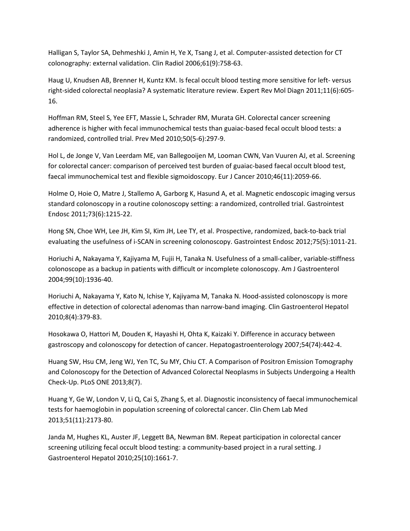Halligan S, Taylor SA, Dehmeshki J, Amin H, Ye X, Tsang J, et al. Computer-assisted detection for CT colonography: external validation. Clin Radiol 2006;61(9):758-63.

Haug U, Knudsen AB, Brenner H, Kuntz KM. Is fecal occult blood testing more sensitive for left- versus right-sided colorectal neoplasia? A systematic literature review. Expert Rev Mol Diagn 2011;11(6):605- 16.

Hoffman RM, Steel S, Yee EFT, Massie L, Schrader RM, Murata GH. Colorectal cancer screening adherence is higher with fecal immunochemical tests than guaiac-based fecal occult blood tests: a randomized, controlled trial. Prev Med 2010;50(5-6):297-9.

Hol L, de Jonge V, Van Leerdam ME, van Ballegooijen M, Looman CWN, Van Vuuren AJ, et al. Screening for colorectal cancer: comparison of perceived test burden of guaiac-based faecal occult blood test, faecal immunochemical test and flexible sigmoidoscopy. Eur J Cancer 2010;46(11):2059-66.

Holme O, Hoie O, Matre J, Stallemo A, Garborg K, Hasund A, et al. Magnetic endoscopic imaging versus standard colonoscopy in a routine colonoscopy setting: a randomized, controlled trial. Gastrointest Endosc 2011;73(6):1215-22.

Hong SN, Choe WH, Lee JH, Kim SI, Kim JH, Lee TY, et al. Prospective, randomized, back-to-back trial evaluating the usefulness of i-SCAN in screening colonoscopy. Gastrointest Endosc 2012;75(5):1011-21.

Horiuchi A, Nakayama Y, Kajiyama M, Fujii H, Tanaka N. Usefulness of a small-caliber, variable-stiffness colonoscope as a backup in patients with difficult or incomplete colonoscopy. Am J Gastroenterol 2004;99(10):1936-40.

Horiuchi A, Nakayama Y, Kato N, Ichise Y, Kajiyama M, Tanaka N. Hood-assisted colonoscopy is more effective in detection of colorectal adenomas than narrow-band imaging. Clin Gastroenterol Hepatol 2010;8(4):379-83.

Hosokawa O, Hattori M, Douden K, Hayashi H, Ohta K, Kaizaki Y. Difference in accuracy between gastroscopy and colonoscopy for detection of cancer. Hepatogastroenterology 2007;54(74):442-4.

Huang SW, Hsu CM, Jeng WJ, Yen TC, Su MY, Chiu CT. A Comparison of Positron Emission Tomography and Colonoscopy for the Detection of Advanced Colorectal Neoplasms in Subjects Undergoing a Health Check-Up. PLoS ONE 2013;8(7).

Huang Y, Ge W, London V, Li Q, Cai S, Zhang S, et al. Diagnostic inconsistency of faecal immunochemical tests for haemoglobin in population screening of colorectal cancer. Clin Chem Lab Med 2013;51(11):2173-80.

Janda M, Hughes KL, Auster JF, Leggett BA, Newman BM. Repeat participation in colorectal cancer screening utilizing fecal occult blood testing: a community-based project in a rural setting. J Gastroenterol Hepatol 2010;25(10):1661-7.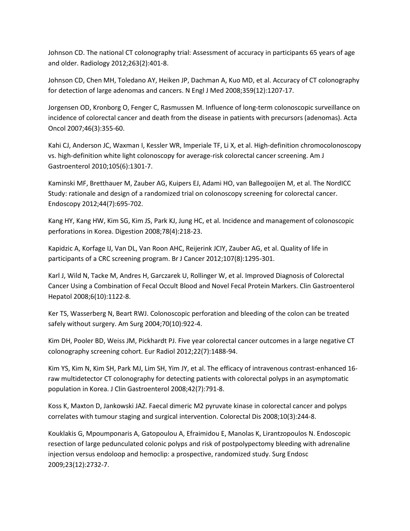Johnson CD. The national CT colonography trial: Assessment of accuracy in participants 65 years of age and older. Radiology 2012;263(2):401-8.

Johnson CD, Chen MH, Toledano AY, Heiken JP, Dachman A, Kuo MD, et al. Accuracy of CT colonography for detection of large adenomas and cancers. N Engl J Med 2008;359(12):1207-17.

Jorgensen OD, Kronborg O, Fenger C, Rasmussen M. Influence of long-term colonoscopic surveillance on incidence of colorectal cancer and death from the disease in patients with precursors (adenomas). Acta Oncol 2007;46(3):355-60.

Kahi CJ, Anderson JC, Waxman I, Kessler WR, Imperiale TF, Li X, et al. High-definition chromocolonoscopy vs. high-definition white light colonoscopy for average-risk colorectal cancer screening. Am J Gastroenterol 2010;105(6):1301-7.

Kaminski MF, Bretthauer M, Zauber AG, Kuipers EJ, Adami HO, van Ballegooijen M, et al. The NordICC Study: rationale and design of a randomized trial on colonoscopy screening for colorectal cancer. Endoscopy 2012;44(7):695-702.

Kang HY, Kang HW, Kim SG, Kim JS, Park KJ, Jung HC, et al. Incidence and management of colonoscopic perforations in Korea. Digestion 2008;78(4):218-23.

Kapidzic A, Korfage IJ, Van DL, Van Roon AHC, Reijerink JCIY, Zauber AG, et al. Quality of life in participants of a CRC screening program. Br J Cancer 2012;107(8):1295-301.

Karl J, Wild N, Tacke M, Andres H, Garczarek U, Rollinger W, et al. Improved Diagnosis of Colorectal Cancer Using a Combination of Fecal Occult Blood and Novel Fecal Protein Markers. Clin Gastroenterol Hepatol 2008;6(10):1122-8.

Ker TS, Wasserberg N, Beart RWJ. Colonoscopic perforation and bleeding of the colon can be treated safely without surgery. Am Surg 2004;70(10):922-4.

Kim DH, Pooler BD, Weiss JM, Pickhardt PJ. Five year colorectal cancer outcomes in a large negative CT colonography screening cohort. Eur Radiol 2012;22(7):1488-94.

Kim YS, Kim N, Kim SH, Park MJ, Lim SH, Yim JY, et al. The efficacy of intravenous contrast-enhanced 16 raw multidetector CT colonography for detecting patients with colorectal polyps in an asymptomatic population in Korea. J Clin Gastroenterol 2008;42(7):791-8.

Koss K, Maxton D, Jankowski JAZ. Faecal dimeric M2 pyruvate kinase in colorectal cancer and polyps correlates with tumour staging and surgical intervention. Colorectal Dis 2008;10(3):244-8.

Kouklakis G, Mpoumponaris A, Gatopoulou A, Efraimidou E, Manolas K, Lirantzopoulos N. Endoscopic resection of large pedunculated colonic polyps and risk of postpolypectomy bleeding with adrenaline injection versus endoloop and hemoclip: a prospective, randomized study. Surg Endosc 2009;23(12):2732-7.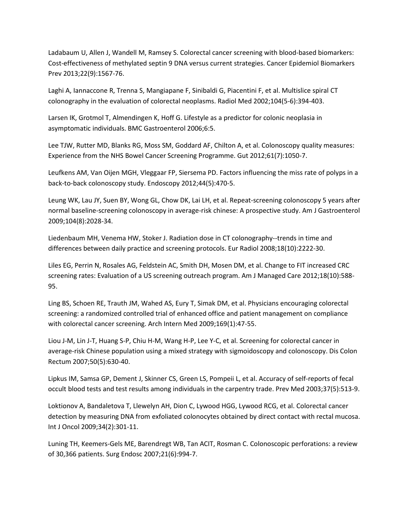Ladabaum U, Allen J, Wandell M, Ramsey S. Colorectal cancer screening with blood-based biomarkers: Cost-effectiveness of methylated septin 9 DNA versus current strategies. Cancer Epidemiol Biomarkers Prev 2013;22(9):1567-76.

Laghi A, Iannaccone R, Trenna S, Mangiapane F, Sinibaldi G, Piacentini F, et al. Multislice spiral CT colonography in the evaluation of colorectal neoplasms. Radiol Med 2002;104(5-6):394-403.

Larsen IK, Grotmol T, Almendingen K, Hoff G. Lifestyle as a predictor for colonic neoplasia in asymptomatic individuals. BMC Gastroenterol 2006;6:5.

Lee TJW, Rutter MD, Blanks RG, Moss SM, Goddard AF, Chilton A, et al. Colonoscopy quality measures: Experience from the NHS Bowel Cancer Screening Programme. Gut 2012;61(7):1050-7.

Leufkens AM, Van Oijen MGH, Vleggaar FP, Siersema PD. Factors influencing the miss rate of polyps in a back-to-back colonoscopy study. Endoscopy 2012;44(5):470-5.

Leung WK, Lau JY, Suen BY, Wong GL, Chow DK, Lai LH, et al. Repeat-screening colonoscopy 5 years after normal baseline-screening colonoscopy in average-risk chinese: A prospective study. Am J Gastroenterol 2009;104(8):2028-34.

Liedenbaum MH, Venema HW, Stoker J. Radiation dose in CT colonography--trends in time and differences between daily practice and screening protocols. Eur Radiol 2008;18(10):2222-30.

Liles EG, Perrin N, Rosales AG, Feldstein AC, Smith DH, Mosen DM, et al. Change to FIT increased CRC screening rates: Evaluation of a US screening outreach program. Am J Managed Care 2012;18(10):588- 95.

Ling BS, Schoen RE, Trauth JM, Wahed AS, Eury T, Simak DM, et al. Physicians encouraging colorectal screening: a randomized controlled trial of enhanced office and patient management on compliance with colorectal cancer screening. Arch Intern Med 2009;169(1):47-55.

Liou J-M, Lin J-T, Huang S-P, Chiu H-M, Wang H-P, Lee Y-C, et al. Screening for colorectal cancer in average-risk Chinese population using a mixed strategy with sigmoidoscopy and colonoscopy. Dis Colon Rectum 2007;50(5):630-40.

Lipkus IM, Samsa GP, Dement J, Skinner CS, Green LS, Pompeii L, et al. Accuracy of self-reports of fecal occult blood tests and test results among individuals in the carpentry trade. Prev Med 2003;37(5):513-9.

Loktionov A, Bandaletova T, Llewelyn AH, Dion C, Lywood HGG, Lywood RCG, et al. Colorectal cancer detection by measuring DNA from exfoliated colonocytes obtained by direct contact with rectal mucosa. Int J Oncol 2009;34(2):301-11.

Luning TH, Keemers-Gels ME, Barendregt WB, Tan ACIT, Rosman C. Colonoscopic perforations: a review of 30,366 patients. Surg Endosc 2007;21(6):994-7.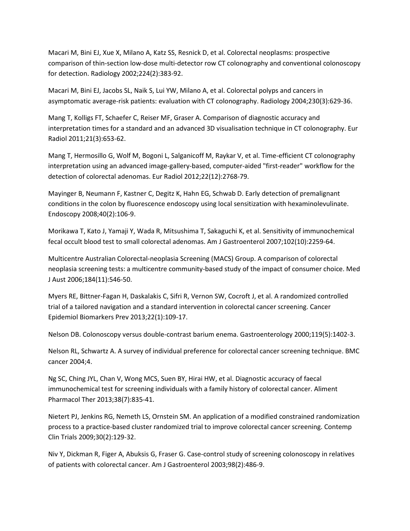Macari M, Bini EJ, Xue X, Milano A, Katz SS, Resnick D, et al. Colorectal neoplasms: prospective comparison of thin-section low-dose multi-detector row CT colonography and conventional colonoscopy for detection. Radiology 2002;224(2):383-92.

Macari M, Bini EJ, Jacobs SL, Naik S, Lui YW, Milano A, et al. Colorectal polyps and cancers in asymptomatic average-risk patients: evaluation with CT colonography. Radiology 2004;230(3):629-36.

Mang T, Kolligs FT, Schaefer C, Reiser MF, Graser A. Comparison of diagnostic accuracy and interpretation times for a standard and an advanced 3D visualisation technique in CT colonography. Eur Radiol 2011;21(3):653-62.

Mang T, Hermosillo G, Wolf M, Bogoni L, Salganicoff M, Raykar V, et al. Time-efficient CT colonography interpretation using an advanced image-gallery-based, computer-aided "first-reader" workflow for the detection of colorectal adenomas. Eur Radiol 2012;22(12):2768-79.

Mayinger B, Neumann F, Kastner C, Degitz K, Hahn EG, Schwab D. Early detection of premalignant conditions in the colon by fluorescence endoscopy using local sensitization with hexaminolevulinate. Endoscopy 2008;40(2):106-9.

Morikawa T, Kato J, Yamaji Y, Wada R, Mitsushima T, Sakaguchi K, et al. Sensitivity of immunochemical fecal occult blood test to small colorectal adenomas. Am J Gastroenterol 2007;102(10):2259-64.

Multicentre Australian Colorectal-neoplasia Screening (MACS) Group. A comparison of colorectal neoplasia screening tests: a multicentre community-based study of the impact of consumer choice. Med J Aust 2006;184(11):546-50.

Myers RE, Bittner-Fagan H, Daskalakis C, Sifri R, Vernon SW, Cocroft J, et al. A randomized controlled trial of a tailored navigation and a standard intervention in colorectal cancer screening. Cancer Epidemiol Biomarkers Prev 2013;22(1):109-17.

Nelson DB. Colonoscopy versus double-contrast barium enema. Gastroenterology 2000;119(5):1402-3.

Nelson RL, Schwartz A. A survey of individual preference for colorectal cancer screening technique. BMC cancer 2004;4.

Ng SC, Ching JYL, Chan V, Wong MCS, Suen BY, Hirai HW, et al. Diagnostic accuracy of faecal immunochemical test for screening individuals with a family history of colorectal cancer. Aliment Pharmacol Ther 2013;38(7):835-41.

Nietert PJ, Jenkins RG, Nemeth LS, Ornstein SM. An application of a modified constrained randomization process to a practice-based cluster randomized trial to improve colorectal cancer screening. Contemp Clin Trials 2009;30(2):129-32.

Niv Y, Dickman R, Figer A, Abuksis G, Fraser G. Case-control study of screening colonoscopy in relatives of patients with colorectal cancer. Am J Gastroenterol 2003;98(2):486-9.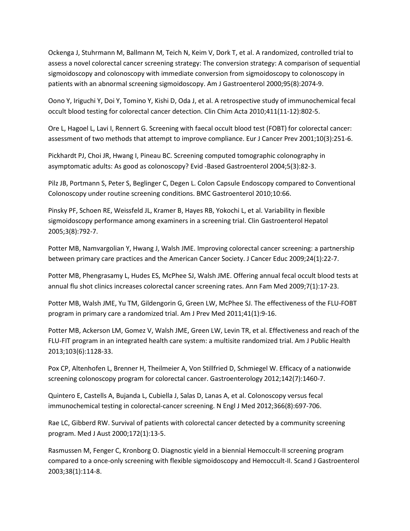Ockenga J, Stuhrmann M, Ballmann M, Teich N, Keim V, Dork T, et al. A randomized, controlled trial to assess a novel colorectal cancer screening strategy: The conversion strategy: A comparison of sequential sigmoidoscopy and colonoscopy with immediate conversion from sigmoidoscopy to colonoscopy in patients with an abnormal screening sigmoidoscopy. Am J Gastroenterol 2000;95(8):2074-9.

Oono Y, Iriguchi Y, Doi Y, Tomino Y, Kishi D, Oda J, et al. A retrospective study of immunochemical fecal occult blood testing for colorectal cancer detection. Clin Chim Acta 2010;411(11-12):802-5.

Ore L, Hagoel L, Lavi I, Rennert G. Screening with faecal occult blood test (FOBT) for colorectal cancer: assessment of two methods that attempt to improve compliance. Eur J Cancer Prev 2001;10(3):251-6.

Pickhardt PJ, Choi JR, Hwang I, Pineau BC. Screening computed tomographic colonography in asymptomatic adults: As good as colonoscopy? Evid -Based Gastroenterol 2004;5(3):82-3.

Pilz JB, Portmann S, Peter S, Beglinger C, Degen L. Colon Capsule Endoscopy compared to Conventional Colonoscopy under routine screening conditions. BMC Gastroenterol 2010;10:66.

Pinsky PF, Schoen RE, Weissfeld JL, Kramer B, Hayes RB, Yokochi L, et al. Variability in flexible sigmoidoscopy performance among examiners in a screening trial. Clin Gastroenterol Hepatol 2005;3(8):792-7.

Potter MB, Namvargolian Y, Hwang J, Walsh JME. Improving colorectal cancer screening: a partnership between primary care practices and the American Cancer Society. J Cancer Educ 2009;24(1):22-7.

Potter MB, Phengrasamy L, Hudes ES, McPhee SJ, Walsh JME. Offering annual fecal occult blood tests at annual flu shot clinics increases colorectal cancer screening rates. Ann Fam Med 2009;7(1):17-23.

Potter MB, Walsh JME, Yu TM, Gildengorin G, Green LW, McPhee SJ. The effectiveness of the FLU-FOBT program in primary care a randomized trial. Am J Prev Med 2011;41(1):9-16.

Potter MB, Ackerson LM, Gomez V, Walsh JME, Green LW, Levin TR, et al. Effectiveness and reach of the FLU-FIT program in an integrated health care system: a multisite randomized trial. Am J Public Health 2013;103(6):1128-33.

Pox CP, Altenhofen L, Brenner H, Theilmeier A, Von Stillfried D, Schmiegel W. Efficacy of a nationwide screening colonoscopy program for colorectal cancer. Gastroenterology 2012;142(7):1460-7.

Quintero E, Castells A, Bujanda L, Cubiella J, Salas D, Lanas A, et al. Colonoscopy versus fecal immunochemical testing in colorectal-cancer screening. N Engl J Med 2012;366(8):697-706.

Rae LC, Gibberd RW. Survival of patients with colorectal cancer detected by a community screening program. Med J Aust 2000;172(1):13-5.

Rasmussen M, Fenger C, Kronborg O. Diagnostic yield in a biennial Hemoccult-II screening program compared to a once-only screening with flexible sigmoidoscopy and Hemoccult-II. Scand J Gastroenterol 2003;38(1):114-8.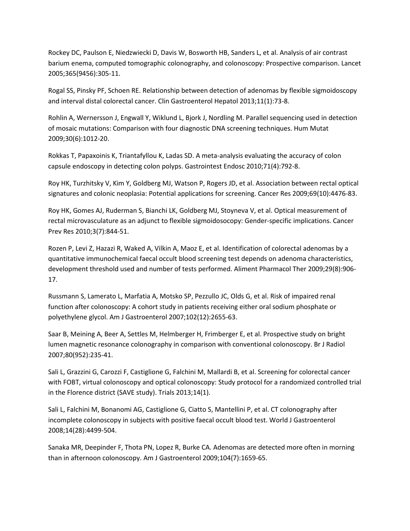Rockey DC, Paulson E, Niedzwiecki D, Davis W, Bosworth HB, Sanders L, et al. Analysis of air contrast barium enema, computed tomographic colonography, and colonoscopy: Prospective comparison. Lancet 2005;365(9456):305-11.

Rogal SS, Pinsky PF, Schoen RE. Relationship between detection of adenomas by flexible sigmoidoscopy and interval distal colorectal cancer. Clin Gastroenterol Hepatol 2013;11(1):73-8.

Rohlin A, Wernersson J, Engwall Y, Wiklund L, Bjork J, Nordling M. Parallel sequencing used in detection of mosaic mutations: Comparison with four diagnostic DNA screening techniques. Hum Mutat 2009;30(6):1012-20.

Rokkas T, Papaxoinis K, Triantafyllou K, Ladas SD. A meta-analysis evaluating the accuracy of colon capsule endoscopy in detecting colon polyps. Gastrointest Endosc 2010;71(4):792-8.

Roy HK, Turzhitsky V, Kim Y, Goldberg MJ, Watson P, Rogers JD, et al. Association between rectal optical signatures and colonic neoplasia: Potential applications for screening. Cancer Res 2009;69(10):4476-83.

Roy HK, Gomes AJ, Ruderman S, Bianchi LK, Goldberg MJ, Stoyneva V, et al. Optical measurement of rectal microvasculature as an adjunct to flexible sigmoidosocopy: Gender-specific implications. Cancer Prev Res 2010;3(7):844-51.

Rozen P, Levi Z, Hazazi R, Waked A, Vilkin A, Maoz E, et al. Identification of colorectal adenomas by a quantitative immunochemical faecal occult blood screening test depends on adenoma characteristics, development threshold used and number of tests performed. Aliment Pharmacol Ther 2009;29(8):906- 17.

Russmann S, Lamerato L, Marfatia A, Motsko SP, Pezzullo JC, Olds G, et al. Risk of impaired renal function after colonoscopy: A cohort study in patients receiving either oral sodium phosphate or polyethylene glycol. Am J Gastroenterol 2007;102(12):2655-63.

Saar B, Meining A, Beer A, Settles M, Helmberger H, Frimberger E, et al. Prospective study on bright lumen magnetic resonance colonography in comparison with conventional colonoscopy. Br J Radiol 2007;80(952):235-41.

Sali L, Grazzini G, Carozzi F, Castiglione G, Falchini M, Mallardi B, et al. Screening for colorectal cancer with FOBT, virtual colonoscopy and optical colonoscopy: Study protocol for a randomized controlled trial in the Florence district (SAVE study). Trials 2013;14(1).

Sali L, Falchini M, Bonanomi AG, Castiglione G, Ciatto S, Mantellini P, et al. CT colonography after incomplete colonoscopy in subjects with positive faecal occult blood test. World J Gastroenterol 2008;14(28):4499-504.

Sanaka MR, Deepinder F, Thota PN, Lopez R, Burke CA. Adenomas are detected more often in morning than in afternoon colonoscopy. Am J Gastroenterol 2009;104(7):1659-65.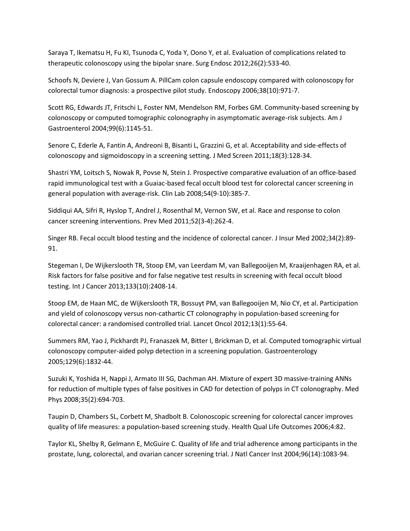Saraya T, Ikematsu H, Fu KI, Tsunoda C, Yoda Y, Oono Y, et al. Evaluation of complications related to therapeutic colonoscopy using the bipolar snare. Surg Endosc 2012;26(2):533-40.

Schoofs N, Deviere J, Van Gossum A. PillCam colon capsule endoscopy compared with colonoscopy for colorectal tumor diagnosis: a prospective pilot study. Endoscopy 2006;38(10):971-7.

Scott RG, Edwards JT, Fritschi L, Foster NM, Mendelson RM, Forbes GM. Community-based screening by colonoscopy or computed tomographic colonography in asymptomatic average-risk subjects. Am J Gastroenterol 2004;99(6):1145-51.

Senore C, Ederle A, Fantin A, Andreoni B, Bisanti L, Grazzini G, et al. Acceptability and side-effects of colonoscopy and sigmoidoscopy in a screening setting. J Med Screen 2011;18(3):128-34.

Shastri YM, Loitsch S, Nowak R, Povse N, Stein J. Prospective comparative evaluation of an office-based rapid immunological test with a Guaiac-based fecal occult blood test for colorectal cancer screening in general population with average-risk. Clin Lab 2008;54(9-10):385-7.

Siddiqui AA, Sifri R, Hyslop T, Andrel J, Rosenthal M, Vernon SW, et al. Race and response to colon cancer screening interventions. Prev Med 2011;52(3-4):262-4.

Singer RB. Fecal occult blood testing and the incidence of colorectal cancer. J Insur Med 2002;34(2):89- 91.

Stegeman I, De Wijkerslooth TR, Stoop EM, van Leerdam M, van Ballegooijen M, Kraaijenhagen RA, et al. Risk factors for false positive and for false negative test results in screening with fecal occult blood testing. Int J Cancer 2013;133(10):2408-14.

Stoop EM, de Haan MC, de Wijkerslooth TR, Bossuyt PM, van Ballegooijen M, Nio CY, et al. Participation and yield of colonoscopy versus non-cathartic CT colonography in population-based screening for colorectal cancer: a randomised controlled trial. Lancet Oncol 2012;13(1):55-64.

Summers RM, Yao J, Pickhardt PJ, Franaszek M, Bitter I, Brickman D, et al. Computed tomographic virtual colonoscopy computer-aided polyp detection in a screening population. Gastroenterology 2005;129(6):1832-44.

Suzuki K, Yoshida H, Nappi J, Armato III SG, Dachman AH. Mixture of expert 3D massive-training ANNs for reduction of multiple types of false positives in CAD for detection of polyps in CT colonography. Med Phys 2008;35(2):694-703.

Taupin D, Chambers SL, Corbett M, Shadbolt B. Colonoscopic screening for colorectal cancer improves quality of life measures: a population-based screening study. Health Qual Life Outcomes 2006;4:82.

Taylor KL, Shelby R, Gelmann E, McGuire C. Quality of life and trial adherence among participants in the prostate, lung, colorectal, and ovarian cancer screening trial. J Natl Cancer Inst 2004;96(14):1083-94.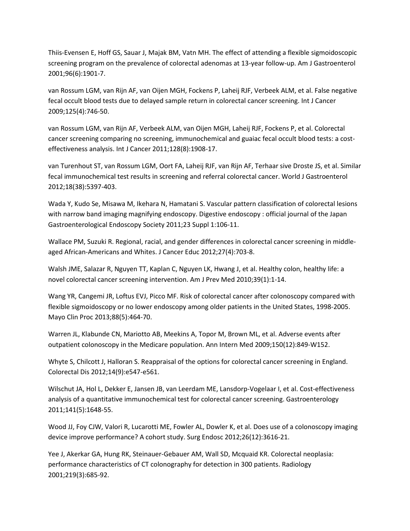Thiis-Evensen E, Hoff GS, Sauar J, Majak BM, Vatn MH. The effect of attending a flexible sigmoidoscopic screening program on the prevalence of colorectal adenomas at 13-year follow-up. Am J Gastroenterol 2001;96(6):1901-7.

van Rossum LGM, van Rijn AF, van Oijen MGH, Fockens P, Laheij RJF, Verbeek ALM, et al. False negative fecal occult blood tests due to delayed sample return in colorectal cancer screening. Int J Cancer 2009;125(4):746-50.

van Rossum LGM, van Rijn AF, Verbeek ALM, van Oijen MGH, Laheij RJF, Fockens P, et al. Colorectal cancer screening comparing no screening, immunochemical and guaiac fecal occult blood tests: a costeffectiveness analysis. Int J Cancer 2011;128(8):1908-17.

van Turenhout ST, van Rossum LGM, Oort FA, Laheij RJF, van Rijn AF, Terhaar sive Droste JS, et al. Similar fecal immunochemical test results in screening and referral colorectal cancer. World J Gastroenterol 2012;18(38):5397-403.

Wada Y, Kudo Se, Misawa M, Ikehara N, Hamatani S. Vascular pattern classification of colorectal lesions with narrow band imaging magnifying endoscopy. Digestive endoscopy : official journal of the Japan Gastroenterological Endoscopy Society 2011;23 Suppl 1:106-11.

Wallace PM, Suzuki R. Regional, racial, and gender differences in colorectal cancer screening in middleaged African-Americans and Whites. J Cancer Educ 2012;27(4):703-8.

Walsh JME, Salazar R, Nguyen TT, Kaplan C, Nguyen LK, Hwang J, et al. Healthy colon, healthy life: a novel colorectal cancer screening intervention. Am J Prev Med 2010;39(1):1-14.

Wang YR, Cangemi JR, Loftus EVJ, Picco MF. Risk of colorectal cancer after colonoscopy compared with flexible sigmoidoscopy or no lower endoscopy among older patients in the United States, 1998-2005. Mayo Clin Proc 2013;88(5):464-70.

Warren JL, Klabunde CN, Mariotto AB, Meekins A, Topor M, Brown ML, et al. Adverse events after outpatient colonoscopy in the Medicare population. Ann Intern Med 2009;150(12):849-W152.

Whyte S, Chilcott J, Halloran S. Reappraisal of the options for colorectal cancer screening in England. Colorectal Dis 2012;14(9):e547-e561.

Wilschut JA, Hol L, Dekker E, Jansen JB, van Leerdam ME, Lansdorp-Vogelaar I, et al. Cost-effectiveness analysis of a quantitative immunochemical test for colorectal cancer screening. Gastroenterology 2011;141(5):1648-55.

Wood JJ, Foy CJW, Valori R, Lucarotti ME, Fowler AL, Dowler K, et al. Does use of a colonoscopy imaging device improve performance? A cohort study. Surg Endosc 2012;26(12):3616-21.

Yee J, Akerkar GA, Hung RK, Steinauer-Gebauer AM, Wall SD, Mcquaid KR. Colorectal neoplasia: performance characteristics of CT colonography for detection in 300 patients. Radiology 2001;219(3):685-92.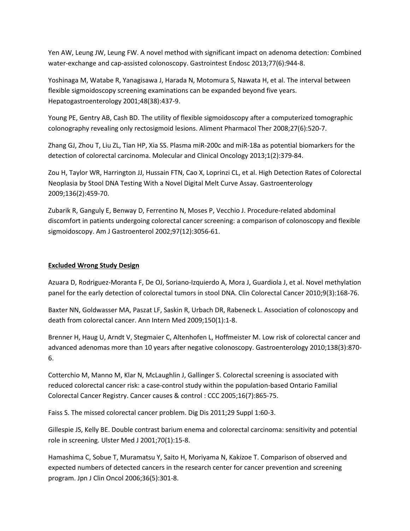Yen AW, Leung JW, Leung FW. A novel method with significant impact on adenoma detection: Combined water-exchange and cap-assisted colonoscopy. Gastrointest Endosc 2013;77(6):944-8.

Yoshinaga M, Watabe R, Yanagisawa J, Harada N, Motomura S, Nawata H, et al. The interval between flexible sigmoidoscopy screening examinations can be expanded beyond five years. Hepatogastroenterology 2001;48(38):437-9.

Young PE, Gentry AB, Cash BD. The utility of flexible sigmoidoscopy after a computerized tomographic colonography revealing only rectosigmoid lesions. Aliment Pharmacol Ther 2008;27(6):520-7.

Zhang GJ, Zhou T, Liu ZL, Tian HP, Xia SS. Plasma miR-200c and miR-18a as potential biomarkers for the detection of colorectal carcinoma. Molecular and Clinical Oncology 2013;1(2):379-84.

Zou H, Taylor WR, Harrington JJ, Hussain FTN, Cao X, Loprinzi CL, et al. High Detection Rates of Colorectal Neoplasia by Stool DNA Testing With a Novel Digital Melt Curve Assay. Gastroenterology 2009;136(2):459-70.

Zubarik R, Ganguly E, Benway D, Ferrentino N, Moses P, Vecchio J. Procedure-related abdominal discomfort in patients undergoing colorectal cancer screening: a comparison of colonoscopy and flexible sigmoidoscopy. Am J Gastroenterol 2002;97(12):3056-61.

## **Excluded Wrong Study Design**

Azuara D, Rodriguez-Moranta F, De OJ, Soriano-Izquierdo A, Mora J, Guardiola J, et al. Novel methylation panel for the early detection of colorectal tumors in stool DNA. Clin Colorectal Cancer 2010;9(3):168-76.

Baxter NN, Goldwasser MA, Paszat LF, Saskin R, Urbach DR, Rabeneck L. Association of colonoscopy and death from colorectal cancer. Ann Intern Med 2009;150(1):1-8.

Brenner H, Haug U, Arndt V, Stegmaier C, Altenhofen L, Hoffmeister M. Low risk of colorectal cancer and advanced adenomas more than 10 years after negative colonoscopy. Gastroenterology 2010;138(3):870- 6.

Cotterchio M, Manno M, Klar N, McLaughlin J, Gallinger S. Colorectal screening is associated with reduced colorectal cancer risk: a case-control study within the population-based Ontario Familial Colorectal Cancer Registry. Cancer causes & control : CCC 2005;16(7):865-75.

Faiss S. The missed colorectal cancer problem. Dig Dis 2011;29 Suppl 1:60-3.

Gillespie JS, Kelly BE. Double contrast barium enema and colorectal carcinoma: sensitivity and potential role in screening. Ulster Med J 2001;70(1):15-8.

Hamashima C, Sobue T, Muramatsu Y, Saito H, Moriyama N, Kakizoe T. Comparison of observed and expected numbers of detected cancers in the research center for cancer prevention and screening program. Jpn J Clin Oncol 2006;36(5):301-8.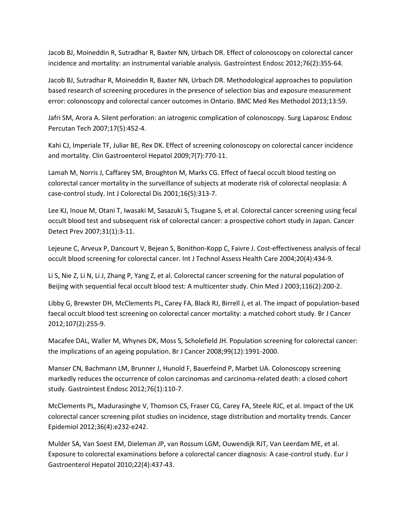Jacob BJ, Moineddin R, Sutradhar R, Baxter NN, Urbach DR. Effect of colonoscopy on colorectal cancer incidence and mortality: an instrumental variable analysis. Gastrointest Endosc 2012;76(2):355-64.

Jacob BJ, Sutradhar R, Moineddin R, Baxter NN, Urbach DR. Methodological approaches to population based research of screening procedures in the presence of selection bias and exposure measurement error: colonoscopy and colorectal cancer outcomes in Ontario. BMC Med Res Methodol 2013;13:59.

Jafri SM, Arora A. Silent perforation: an iatrogenic complication of colonoscopy. Surg Laparosc Endosc Percutan Tech 2007;17(5):452-4.

Kahi CJ, Imperiale TF, Juliar BE, Rex DK. Effect of screening colonoscopy on colorectal cancer incidence and mortality. Clin Gastroenterol Hepatol 2009;7(7):770-11.

Lamah M, Norris J, Caffarey SM, Broughton M, Marks CG. Effect of faecal occult blood testing on colorectal cancer mortality in the surveillance of subjects at moderate risk of colorectal neoplasia: A case-control study. Int J Colorectal Dis 2001;16(5):313-7.

Lee KJ, Inoue M, Otani T, Iwasaki M, Sasazuki S, Tsugane S, et al. Colorectal cancer screening using fecal occult blood test and subsequent risk of colorectal cancer: a prospective cohort study in Japan. Cancer Detect Prev 2007;31(1):3-11.

Lejeune C, Arveux P, Dancourt V, Bejean S, Bonithon-Kopp C, Faivre J. Cost-effectiveness analysis of fecal occult blood screening for colorectal cancer. Int J Technol Assess Health Care 2004;20(4):434-9.

Li S, Nie Z, Li N, Li J, Zhang P, Yang Z, et al. Colorectal cancer screening for the natural population of Beijing with sequential fecal occult blood test: A multicenter study. Chin Med J 2003;116(2):200-2.

Libby G, Brewster DH, McClements PL, Carey FA, Black RJ, Birrell J, et al. The impact of population-based faecal occult blood test screening on colorectal cancer mortality: a matched cohort study. Br J Cancer 2012;107(2):255-9.

Macafee DAL, Waller M, Whynes DK, Moss S, Scholefield JH. Population screening for colorectal cancer: the implications of an ageing population. Br J Cancer 2008;99(12):1991-2000.

Manser CN, Bachmann LM, Brunner J, Hunold F, Bauerfeind P, Marbet UA. Colonoscopy screening markedly reduces the occurrence of colon carcinomas and carcinoma-related death: a closed cohort study. Gastrointest Endosc 2012;76(1):110-7.

McClements PL, Madurasinghe V, Thomson CS, Fraser CG, Carey FA, Steele RJC, et al. Impact of the UK colorectal cancer screening pilot studies on incidence, stage distribution and mortality trends. Cancer Epidemiol 2012;36(4):e232-e242.

Mulder SA, Van Soest EM, Dieleman JP, van Rossum LGM, Ouwendijk RJT, Van Leerdam ME, et al. Exposure to colorectal examinations before a colorectal cancer diagnosis: A case-control study. Eur J Gastroenterol Hepatol 2010;22(4):437-43.